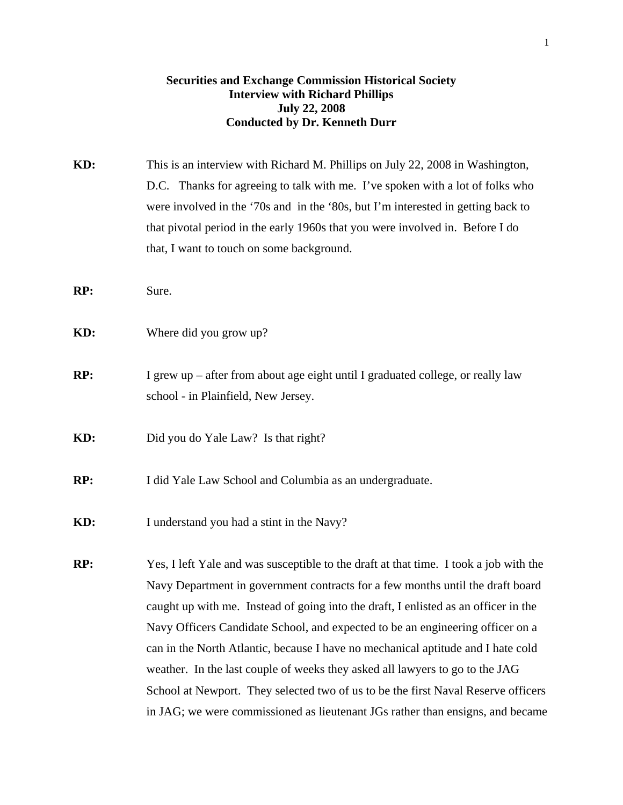# **Securities and Exchange Commission Historical Society Interview with Richard Phillips July 22, 2008 Conducted by Dr. Kenneth Durr**

- **KD:** This is an interview with Richard M. Phillips on July 22, 2008 in Washington, D.C. Thanks for agreeing to talk with me. I've spoken with a lot of folks who were involved in the '70s and in the '80s, but I'm interested in getting back to that pivotal period in the early 1960s that you were involved in. Before I do that, I want to touch on some background.
- **RP:** Sure.
- **KD:** Where did you grow up?
- **RP:** I grew up after from about age eight until I graduated college, or really law school - in Plainfield, New Jersey.
- **KD:** Did you do Yale Law? Is that right?
- **RP:** I did Yale Law School and Columbia as an undergraduate.
- **KD:** I understand you had a stint in the Navy?
- **RP:** Yes, I left Yale and was susceptible to the draft at that time. I took a job with the Navy Department in government contracts for a few months until the draft board caught up with me. Instead of going into the draft, I enlisted as an officer in the Navy Officers Candidate School, and expected to be an engineering officer on a can in the North Atlantic, because I have no mechanical aptitude and I hate cold weather. In the last couple of weeks they asked all lawyers to go to the JAG School at Newport. They selected two of us to be the first Naval Reserve officers in JAG; we were commissioned as lieutenant JGs rather than ensigns, and became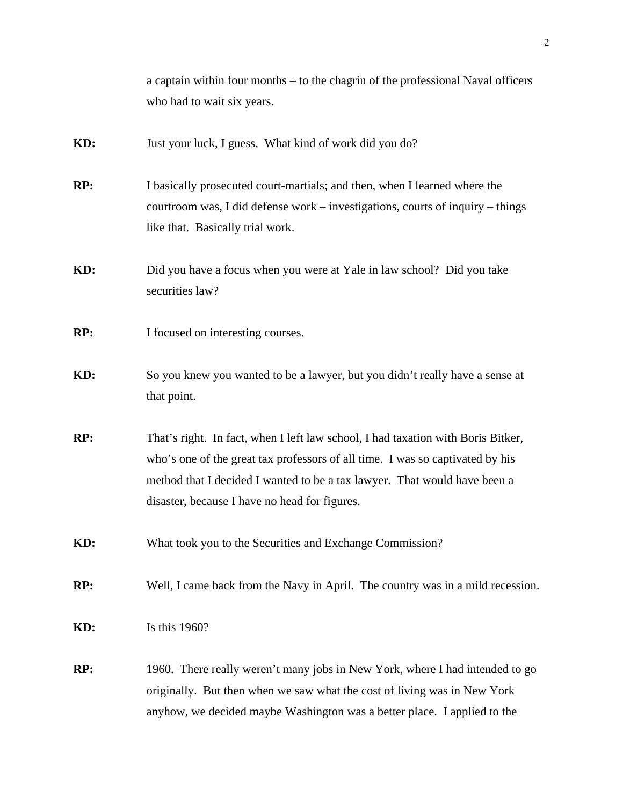|     | a captain within four months – to the chagrin of the professional Naval officers                                                                                                                                                                                                                |
|-----|-------------------------------------------------------------------------------------------------------------------------------------------------------------------------------------------------------------------------------------------------------------------------------------------------|
|     | who had to wait six years.                                                                                                                                                                                                                                                                      |
| KD: | Just your luck, I guess. What kind of work did you do?                                                                                                                                                                                                                                          |
| RP: | I basically prosecuted court-martials; and then, when I learned where the<br>courtroom was, I did defense work – investigations, courts of inquiry – things<br>like that. Basically trial work.                                                                                                 |
| KD: | Did you have a focus when you were at Yale in law school? Did you take<br>securities law?                                                                                                                                                                                                       |
| RP: | I focused on interesting courses.                                                                                                                                                                                                                                                               |
| KD: | So you knew you wanted to be a lawyer, but you didn't really have a sense at<br>that point.                                                                                                                                                                                                     |
| RP: | That's right. In fact, when I left law school, I had taxation with Boris Bitker,<br>who's one of the great tax professors of all time. I was so captivated by his<br>method that I decided I wanted to be a tax lawyer. That would have been a<br>disaster, because I have no head for figures. |
| KD: | What took you to the Securities and Exchange Commission?                                                                                                                                                                                                                                        |
| RP: | Well, I came back from the Navy in April. The country was in a mild recession.                                                                                                                                                                                                                  |
| KD: | Is this 1960?                                                                                                                                                                                                                                                                                   |
| RP: | 1960. There really weren't many jobs in New York, where I had intended to go<br>originally. But then when we saw what the cost of living was in New York<br>anyhow, we decided maybe Washington was a better place. I applied to the                                                            |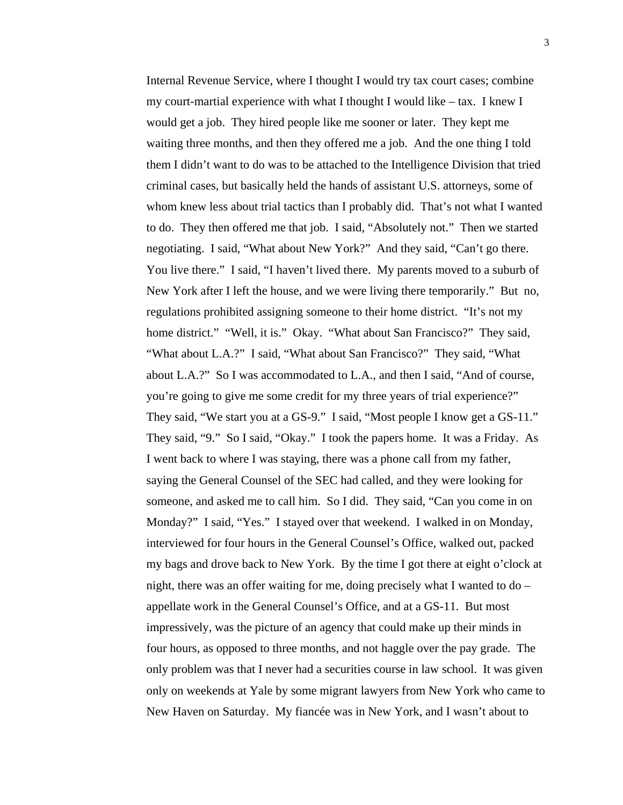Internal Revenue Service, where I thought I would try tax court cases; combine my court-martial experience with what I thought I would like – tax. I knew I would get a job. They hired people like me sooner or later. They kept me waiting three months, and then they offered me a job. And the one thing I told them I didn't want to do was to be attached to the Intelligence Division that tried criminal cases, but basically held the hands of assistant U.S. attorneys, some of whom knew less about trial tactics than I probably did. That's not what I wanted to do. They then offered me that job. I said, "Absolutely not." Then we started negotiating. I said, "What about New York?" And they said, "Can't go there. You live there." I said, "I haven't lived there. My parents moved to a suburb of New York after I left the house, and we were living there temporarily." But no, regulations prohibited assigning someone to their home district. "It's not my home district." "Well, it is." Okay. "What about San Francisco?" They said, "What about L.A.?" I said, "What about San Francisco?" They said, "What about L.A.?" So I was accommodated to L.A., and then I said, "And of course, you're going to give me some credit for my three years of trial experience?" They said, "We start you at a GS-9." I said, "Most people I know get a GS-11." They said, "9." So I said, "Okay." I took the papers home. It was a Friday. As I went back to where I was staying, there was a phone call from my father, saying the General Counsel of the SEC had called, and they were looking for someone, and asked me to call him. So I did. They said, "Can you come in on Monday?" I said, "Yes." I stayed over that weekend. I walked in on Monday, interviewed for four hours in the General Counsel's Office, walked out, packed my bags and drove back to New York. By the time I got there at eight o'clock at night, there was an offer waiting for me, doing precisely what I wanted to do – appellate work in the General Counsel's Office, and at a GS-11. But most impressively, was the picture of an agency that could make up their minds in four hours, as opposed to three months, and not haggle over the pay grade. The only problem was that I never had a securities course in law school. It was given only on weekends at Yale by some migrant lawyers from New York who came to New Haven on Saturday. My fiancée was in New York, and I wasn't about to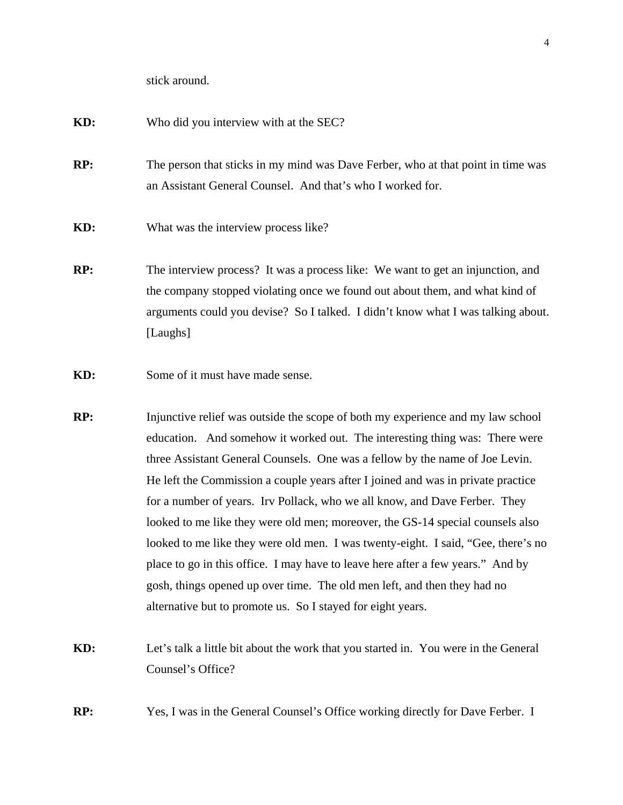stick around.

### **KD:** Who did you interview with at the SEC?

- **RP:** The person that sticks in my mind was Dave Ferber, who at that point in time was an Assistant General Counsel. And that's who I worked for.
- **KD:** What was the interview process like?
- **RP:** The interview process? It was a process like: We want to get an injunction, and the company stopped violating once we found out about them, and what kind of arguments could you devise? So I talked. I didn't know what I was talking about. [Laughs]
- **KD:** Some of it must have made sense.
- **RP:** Injunctive relief was outside the scope of both my experience and my law school education. And somehow it worked out. The interesting thing was: There were three Assistant General Counsels. One was a fellow by the name of Joe Levin. He left the Commission a couple years after I joined and was in private practice for a number of years. Irv Pollack, who we all know, and Dave Ferber. They looked to me like they were old men; moreover, the GS-14 special counsels also looked to me like they were old men. I was twenty-eight. I said, "Gee, there's no place to go in this office. I may have to leave here after a few years." And by gosh, things opened up over time. The old men left, and then they had no alternative but to promote us. So I stayed for eight years.
- **KD:** Let's talk a little bit about the work that you started in. You were in the General Counsel's Office?
- **RP:** Yes, I was in the General Counsel's Office working directly for Dave Ferber. I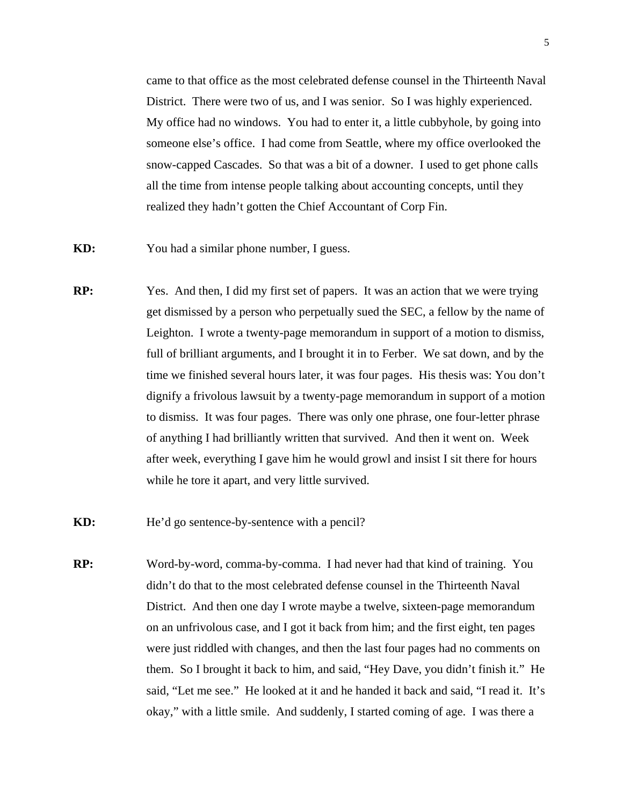came to that office as the most celebrated defense counsel in the Thirteenth Naval District. There were two of us, and I was senior. So I was highly experienced. My office had no windows. You had to enter it, a little cubbyhole, by going into someone else's office. I had come from Seattle, where my office overlooked the snow-capped Cascades. So that was a bit of a downer. I used to get phone calls all the time from intense people talking about accounting concepts, until they realized they hadn't gotten the Chief Accountant of Corp Fin.

- **KD:** You had a similar phone number, I guess.
- **RP:** Yes. And then, I did my first set of papers. It was an action that we were trying get dismissed by a person who perpetually sued the SEC, a fellow by the name of Leighton. I wrote a twenty-page memorandum in support of a motion to dismiss, full of brilliant arguments, and I brought it in to Ferber. We sat down, and by the time we finished several hours later, it was four pages. His thesis was: You don't dignify a frivolous lawsuit by a twenty-page memorandum in support of a motion to dismiss. It was four pages. There was only one phrase, one four-letter phrase of anything I had brilliantly written that survived. And then it went on. Week after week, everything I gave him he would growl and insist I sit there for hours while he tore it apart, and very little survived.
- **KD:** He'd go sentence-by-sentence with a pencil?
- **RP:** Word-by-word, comma-by-comma. I had never had that kind of training. You didn't do that to the most celebrated defense counsel in the Thirteenth Naval District. And then one day I wrote maybe a twelve, sixteen-page memorandum on an unfrivolous case, and I got it back from him; and the first eight, ten pages were just riddled with changes, and then the last four pages had no comments on them. So I brought it back to him, and said, "Hey Dave, you didn't finish it." He said, "Let me see." He looked at it and he handed it back and said, "I read it. It's okay," with a little smile. And suddenly, I started coming of age. I was there a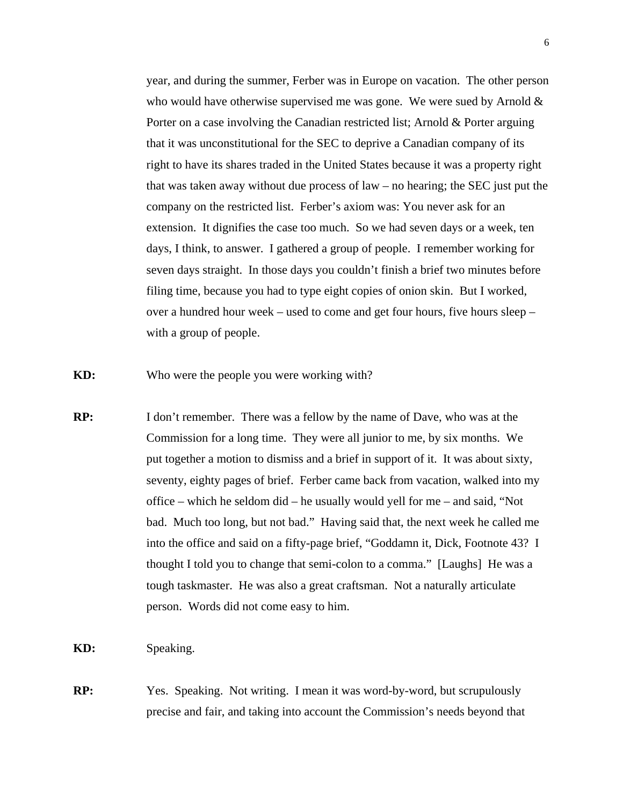year, and during the summer, Ferber was in Europe on vacation. The other person who would have otherwise supervised me was gone. We were sued by Arnold  $\&$  Porter on a case involving the Canadian restricted list; Arnold & Porter arguing that it was unconstitutional for the SEC to deprive a Canadian company of its right to have its shares traded in the United States because it was a property right that was taken away without due process of law – no hearing; the SEC just put the company on the restricted list. Ferber's axiom was: You never ask for an extension. It dignifies the case too much. So we had seven days or a week, ten days, I think, to answer. I gathered a group of people. I remember working for seven days straight. In those days you couldn't finish a brief two minutes before filing time, because you had to type eight copies of onion skin. But I worked, over a hundred hour week – used to come and get four hours, five hours sleep – with a group of people.

**KD:** Who were the people you were working with?

**RP:** I don't remember. There was a fellow by the name of Dave, who was at the Commission for a long time. They were all junior to me, by six months. We put together a motion to dismiss and a brief in support of it. It was about sixty, seventy, eighty pages of brief. Ferber came back from vacation, walked into my office – which he seldom did – he usually would yell for me – and said, "Not bad. Much too long, but not bad." Having said that, the next week he called me into the office and said on a fifty-page brief, "Goddamn it, Dick, Footnote 43? I thought I told you to change that semi-colon to a comma." [Laughs] He was a tough taskmaster. He was also a great craftsman. Not a naturally articulate person. Words did not come easy to him.

**KD:** Speaking.

**RP:** Yes. Speaking. Not writing. I mean it was word-by-word, but scrupulously precise and fair, and taking into account the Commission's needs beyond that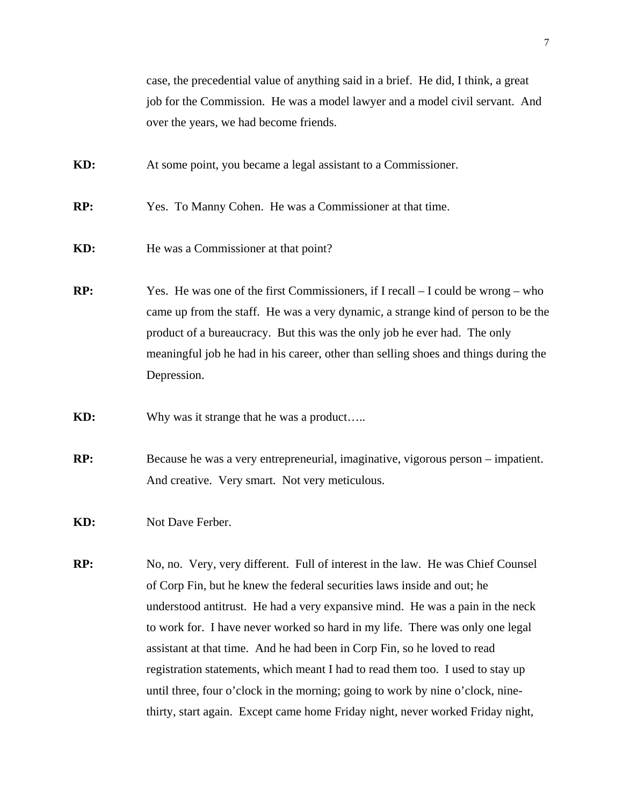case, the precedential value of anything said in a brief. He did, I think, a great job for the Commission. He was a model lawyer and a model civil servant. And over the years, we had become friends.

**KD:** At some point, you became a legal assistant to a Commissioner.

**RP:** Yes. To Manny Cohen. He was a Commissioner at that time.

- **KD:** He was a Commissioner at that point?
- **RP:** Yes. He was one of the first Commissioners, if I recall I could be wrong who came up from the staff. He was a very dynamic, a strange kind of person to be the product of a bureaucracy. But this was the only job he ever had. The only meaningful job he had in his career, other than selling shoes and things during the Depression.

**KD:** Why was it strange that he was a product…..

**RP:** Because he was a very entrepreneurial, imaginative, vigorous person – impatient. And creative. Very smart. Not very meticulous.

**KD:** Not Dave Ferber.

**RP:** No, no. Very, very different. Full of interest in the law. He was Chief Counsel of Corp Fin, but he knew the federal securities laws inside and out; he understood antitrust. He had a very expansive mind. He was a pain in the neck to work for. I have never worked so hard in my life. There was only one legal assistant at that time. And he had been in Corp Fin, so he loved to read registration statements, which meant I had to read them too. I used to stay up until three, four o'clock in the morning; going to work by nine o'clock, nine thirty, start again. Except came home Friday night, never worked Friday night,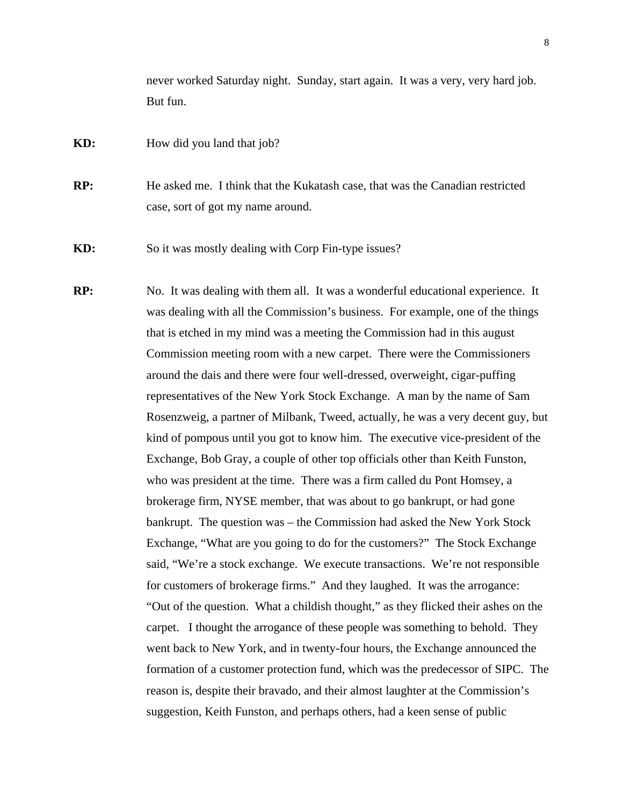never worked Saturday night. Sunday, start again. It was a very, very hard job. But fun.

**KD:** How did you land that job?

**RP:** He asked me. I think that the Kukatash case, that was the Canadian restricted case, sort of got my name around.

**KD:** So it was mostly dealing with Corp Fin-type issues?

**RP:** No. It was dealing with them all. It was a wonderful educational experience. It was dealing with all the Commission's business. For example, one of the things that is etched in my mind was a meeting the Commission had in this august Commission meeting room with a new carpet. There were the Commissioners around the dais and there were four well-dressed, overweight, cigar-puffing representatives of the New York Stock Exchange. A man by the name of Sam Rosenzweig, a partner of Milbank, Tweed, actually, he was a very decent guy, but kind of pompous until you got to know him. The executive vice-president of the Exchange, Bob Gray, a couple of other top officials other than Keith Funston, who was president at the time. There was a firm called du Pont Homsey, a brokerage firm, NYSE member, that was about to go bankrupt, or had gone bankrupt. The question was – the Commission had asked the New York Stock Exchange, "What are you going to do for the customers?" The Stock Exchange said, "We're a stock exchange. We execute transactions. We're not responsible for customers of brokerage firms." And they laughed. It was the arrogance: "Out of the question. What a childish thought," as they flicked their ashes on the carpet. I thought the arrogance of these people was something to behold. They went back to New York, and in twenty-four hours, the Exchange announced the formation of a customer protection fund, which was the predecessor of SIPC. The reason is, despite their bravado, and their almost laughter at the Commission's suggestion, Keith Funston, and perhaps others, had a keen sense of public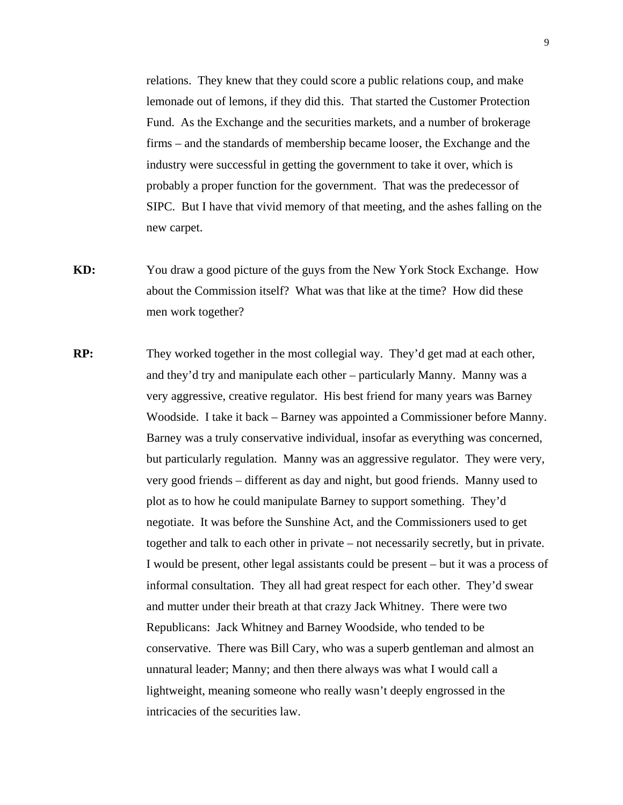relations. They knew that they could score a public relations coup, and make lemonade out of lemons, if they did this. That started the Customer Protection Fund. As the Exchange and the securities markets, and a number of brokerage firms – and the standards of membership became looser, the Exchange and the industry were successful in getting the government to take it over, which is probably a proper function for the government. That was the predecessor of SIPC. But I have that vivid memory of that meeting, and the ashes falling on the new carpet.

- **KD:** You draw a good picture of the guys from the New York Stock Exchange. How about the Commission itself? What was that like at the time? How did these men work together?
- **RP:** They worked together in the most collegial way. They'd get mad at each other, and they'd try and manipulate each other – particularly Manny. Manny was a very aggressive, creative regulator. His best friend for many years was Barney Woodside. I take it back – Barney was appointed a Commissioner before Manny. Barney was a truly conservative individual, insofar as everything was concerned, but particularly regulation. Manny was an aggressive regulator. They were very, very good friends – different as day and night, but good friends. Manny used to plot as to how he could manipulate Barney to support something. They'd negotiate. It was before the Sunshine Act, and the Commissioners used to get together and talk to each other in private – not necessarily secretly, but in private. I would be present, other legal assistants could be present – but it was a process of informal consultation. They all had great respect for each other. They'd swear and mutter under their breath at that crazy Jack Whitney. There were two Republicans: Jack Whitney and Barney Woodside, who tended to be conservative. There was Bill Cary, who was a superb gentleman and almost an unnatural leader; Manny; and then there always was what I would call a lightweight, meaning someone who really wasn't deeply engrossed in the intricacies of the securities law.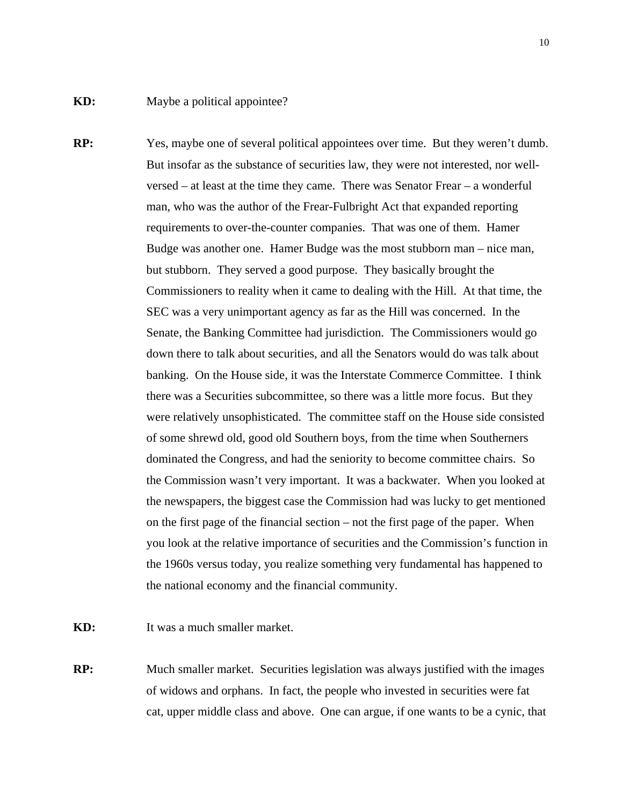- **RP:** Yes, maybe one of several political appointees over time. But they weren't dumb. But insofar as the substance of securities law, they were not interested, nor well versed – at least at the time they came. There was Senator Frear – a wonderful man, who was the author of the Frear-Fulbright Act that expanded reporting requirements to over-the-counter companies. That was one of them. Hamer Budge was another one. Hamer Budge was the most stubborn man – nice man, but stubborn. They served a good purpose. They basically brought the Commissioners to reality when it came to dealing with the Hill. At that time, the SEC was a very unimportant agency as far as the Hill was concerned. In the Senate, the Banking Committee had jurisdiction. The Commissioners would go down there to talk about securities, and all the Senators would do was talk about banking. On the House side, it was the Interstate Commerce Committee. I think there was a Securities subcommittee, so there was a little more focus. But they were relatively unsophisticated. The committee staff on the House side consisted of some shrewd old, good old Southern boys, from the time when Southerners dominated the Congress, and had the seniority to become committee chairs. So the Commission wasn't very important. It was a backwater. When you looked at the newspapers, the biggest case the Commission had was lucky to get mentioned on the first page of the financial section – not the first page of the paper. When you look at the relative importance of securities and the Commission's function in the 1960s versus today, you realize something very fundamental has happened to the national economy and the financial community.
- **KD:** It was a much smaller market.
- **RP:** Much smaller market. Securities legislation was always justified with the images of widows and orphans. In fact, the people who invested in securities were fat cat, upper middle class and above. One can argue, if one wants to be a cynic, that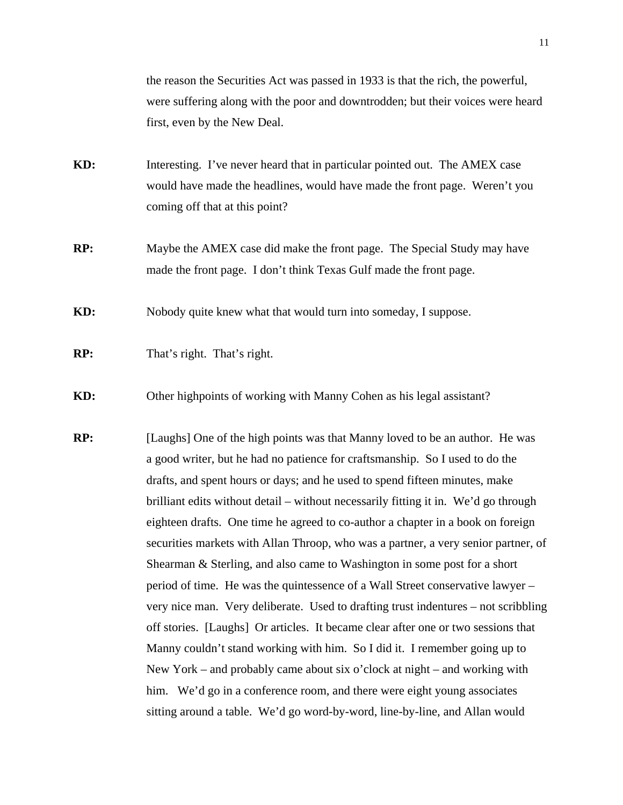the reason the Securities Act was passed in 1933 is that the rich, the powerful, were suffering along with the poor and downtrodden; but their voices were heard first, even by the New Deal.

- **KD:** Interesting. I've never heard that in particular pointed out. The AMEX case would have made the headlines, would have made the front page. Weren't you coming off that at this point?
- **RP:** Maybe the AMEX case did make the front page. The Special Study may have made the front page. I don't think Texas Gulf made the front page.

**KD:** Nobody quite knew what that would turn into someday, I suppose.

- **RP:** That's right. That's right.
- **KD:** Other highpoints of working with Manny Cohen as his legal assistant?
- **RP:** [Laughs] One of the high points was that Manny loved to be an author. He was a good writer, but he had no patience for craftsmanship. So I used to do the drafts, and spent hours or days; and he used to spend fifteen minutes, make brilliant edits without detail – without necessarily fitting it in. We'd go through eighteen drafts. One time he agreed to co-author a chapter in a book on foreign securities markets with Allan Throop, who was a partner, a very senior partner, of Shearman & Sterling, and also came to Washington in some post for a short period of time. He was the quintessence of a Wall Street conservative lawyer – very nice man. Very deliberate. Used to drafting trust indentures – not scribbling off stories. [Laughs] Or articles. It became clear after one or two sessions that Manny couldn't stand working with him. So I did it. I remember going up to New York – and probably came about six o'clock at night – and working with him. We'd go in a conference room, and there were eight young associates sitting around a table. We'd go word-by-word, line-by-line, and Allan would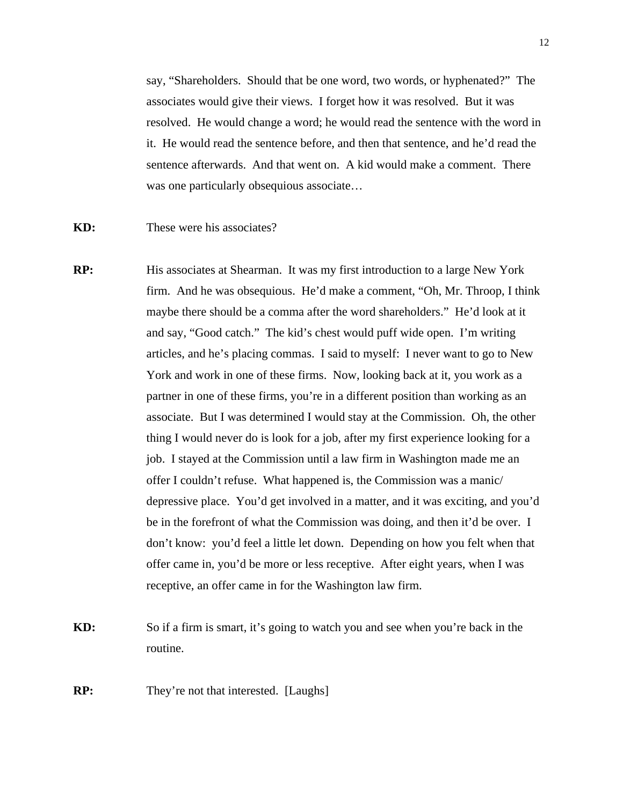say, "Shareholders. Should that be one word, two words, or hyphenated?" The associates would give their views. I forget how it was resolved. But it was resolved. He would change a word; he would read the sentence with the word in it. He would read the sentence before, and then that sentence, and he'd read the sentence afterwards. And that went on. A kid would make a comment. There was one particularly obsequious associate...

- **KD:** These were his associates?
- **RP:** His associates at Shearman. It was my first introduction to a large New York firm. And he was obsequious. He'd make a comment, "Oh, Mr. Throop, I think maybe there should be a comma after the word shareholders." He'd look at it and say, "Good catch." The kid's chest would puff wide open. I'm writing articles, and he's placing commas. I said to myself: I never want to go to New York and work in one of these firms. Now, looking back at it, you work as a partner in one of these firms, you're in a different position than working as an associate. But I was determined I would stay at the Commission. Oh, the other thing I would never do is look for a job, after my first experience looking for a job. I stayed at the Commission until a law firm in Washington made me an offer I couldn't refuse. What happened is, the Commission was a manic/ depressive place. You'd get involved in a matter, and it was exciting, and you'd be in the forefront of what the Commission was doing, and then it'd be over. I don't know: you'd feel a little let down. Depending on how you felt when that offer came in, you'd be more or less receptive. After eight years, when I was receptive, an offer came in for the Washington law firm.
- **KD:** So if a firm is smart, it's going to watch you and see when you're back in the routine.
- **RP:** They're not that interested. [Laughs]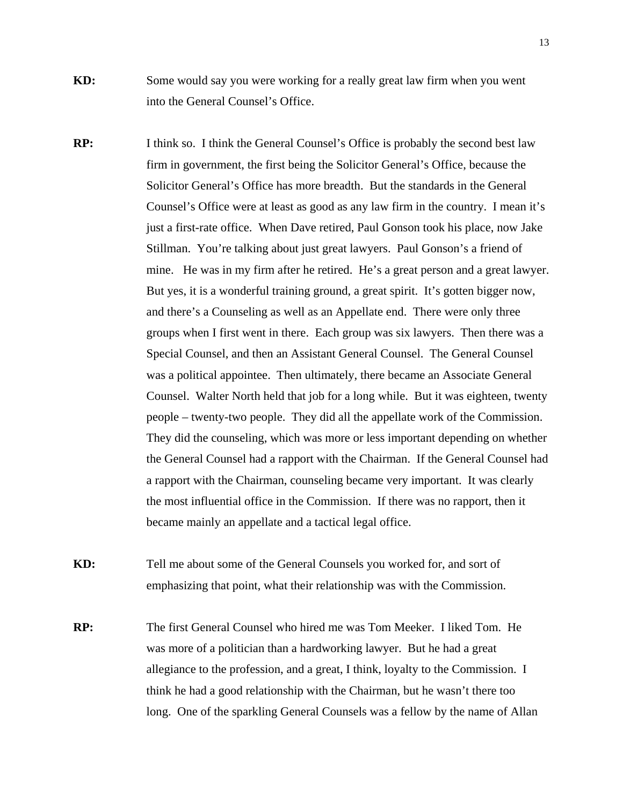- **KD:** Some would say you were working for a really great law firm when you went into the General Counsel's Office.
- **RP:** I think so. I think the General Counsel's Office is probably the second best law firm in government, the first being the Solicitor General's Office, because the Solicitor General's Office has more breadth. But the standards in the General Counsel's Office were at least as good as any law firm in the country. I mean it's just a first-rate office. When Dave retired, Paul Gonson took his place, now Jake Stillman. You're talking about just great lawyers. Paul Gonson's a friend of mine. He was in my firm after he retired. He's a great person and a great lawyer. But yes, it is a wonderful training ground, a great spirit. It's gotten bigger now, and there's a Counseling as well as an Appellate end. There were only three groups when I first went in there. Each group was six lawyers. Then there was a Special Counsel, and then an Assistant General Counsel. The General Counsel was a political appointee. Then ultimately, there became an Associate General Counsel. Walter North held that job for a long while. But it was eighteen, twenty people – twenty-two people. They did all the appellate work of the Commission. They did the counseling, which was more or less important depending on whether the General Counsel had a rapport with the Chairman. If the General Counsel had a rapport with the Chairman, counseling became very important. It was clearly the most influential office in the Commission. If there was no rapport, then it became mainly an appellate and a tactical legal office.
- **KD:** Tell me about some of the General Counsels you worked for, and sort of emphasizing that point, what their relationship was with the Commission.
- **RP:** The first General Counsel who hired me was Tom Meeker. I liked Tom. He was more of a politician than a hardworking lawyer. But he had a great allegiance to the profession, and a great, I think, loyalty to the Commission. I think he had a good relationship with the Chairman, but he wasn't there too long. One of the sparkling General Counsels was a fellow by the name of Allan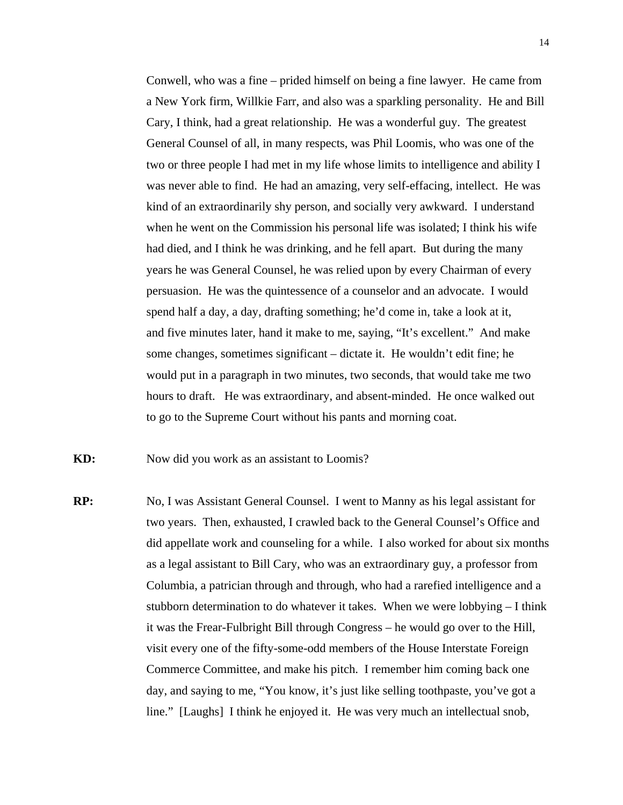Conwell, who was a fine – prided himself on being a fine lawyer. He came from a New York firm, Willkie Farr, and also was a sparkling personality. He and Bill Cary, I think, had a great relationship. He was a wonderful guy. The greatest General Counsel of all, in many respects, was Phil Loomis, who was one of the two or three people I had met in my life whose limits to intelligence and ability I was never able to find. He had an amazing, very self-effacing, intellect. He was kind of an extraordinarily shy person, and socially very awkward. I understand when he went on the Commission his personal life was isolated; I think his wife had died, and I think he was drinking, and he fell apart. But during the many years he was General Counsel, he was relied upon by every Chairman of every persuasion. He was the quintessence of a counselor and an advocate. I would spend half a day, a day, drafting something; he'd come in, take a look at it, and five minutes later, hand it make to me, saying, "It's excellent." And make some changes, sometimes significant – dictate it. He wouldn't edit fine; he would put in a paragraph in two minutes, two seconds, that would take me two hours to draft. He was extraordinary, and absent-minded. He once walked out to go to the Supreme Court without his pants and morning coat.

**KD:** Now did you work as an assistant to Loomis?

**RP:** No, I was Assistant General Counsel. I went to Manny as his legal assistant for two years. Then, exhausted, I crawled back to the General Counsel's Office and did appellate work and counseling for a while. I also worked for about six months as a legal assistant to Bill Cary, who was an extraordinary guy, a professor from Columbia, a patrician through and through, who had a rarefied intelligence and a stubborn determination to do whatever it takes. When we were lobbying – I think it was the Frear-Fulbright Bill through Congress – he would go over to the Hill, visit every one of the fifty-some-odd members of the House Interstate Foreign Commerce Committee, and make his pitch. I remember him coming back one day, and saying to me, "You know, it's just like selling toothpaste, you've got a line." [Laughs] I think he enjoyed it. He was very much an intellectual snob,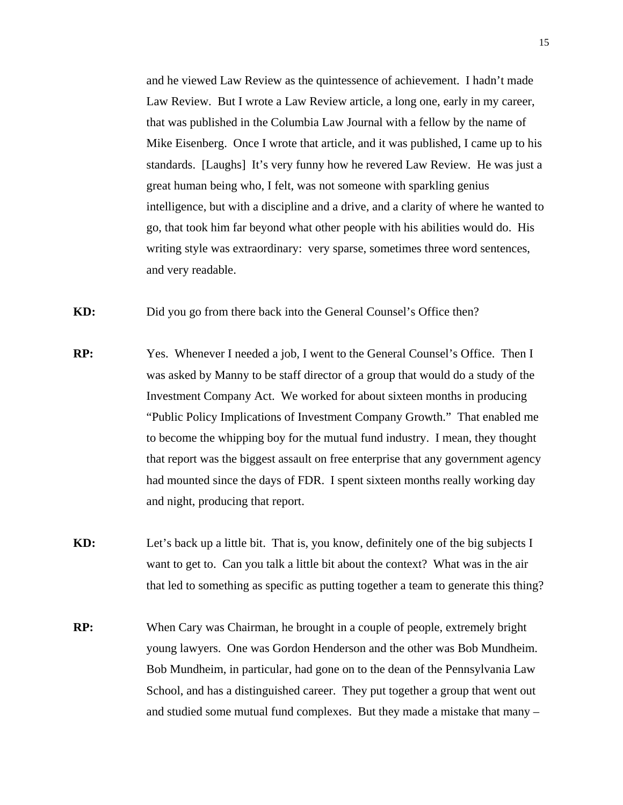and he viewed Law Review as the quintessence of achievement. I hadn't made Law Review. But I wrote a Law Review article, a long one, early in my career, that was published in the Columbia Law Journal with a fellow by the name of Mike Eisenberg. Once I wrote that article, and it was published, I came up to his standards. [Laughs] It's very funny how he revered Law Review. He was just a great human being who, I felt, was not someone with sparkling genius intelligence, but with a discipline and a drive, and a clarity of where he wanted to go, that took him far beyond what other people with his abilities would do. His writing style was extraordinary: very sparse, sometimes three word sentences, and very readable.

**KD:** Did you go from there back into the General Counsel's Office then?

**RP:** Yes. Whenever I needed a job, I went to the General Counsel's Office. Then I was asked by Manny to be staff director of a group that would do a study of the Investment Company Act. We worked for about sixteen months in producing "Public Policy Implications of Investment Company Growth." That enabled me to become the whipping boy for the mutual fund industry. I mean, they thought that report was the biggest assault on free enterprise that any government agency had mounted since the days of FDR. I spent sixteen months really working day and night, producing that report.

**KD:** Let's back up a little bit. That is, you know, definitely one of the big subjects I want to get to. Can you talk a little bit about the context? What was in the air that led to something as specific as putting together a team to generate this thing?

**RP:** When Cary was Chairman, he brought in a couple of people, extremely bright young lawyers. One was Gordon Henderson and the other was Bob Mundheim. Bob Mundheim, in particular, had gone on to the dean of the Pennsylvania Law School, and has a distinguished career. They put together a group that went out and studied some mutual fund complexes. But they made a mistake that many –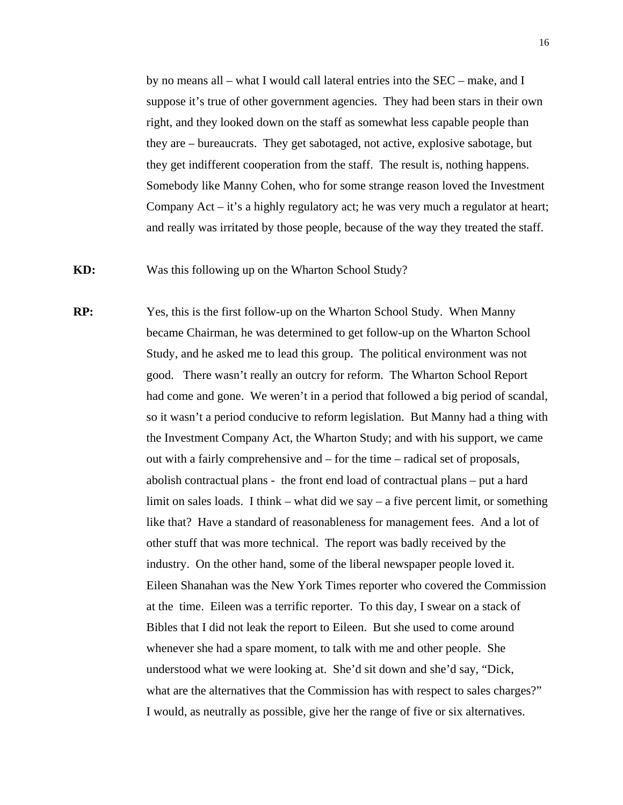by no means all – what I would call lateral entries into the SEC – make, and I suppose it's true of other government agencies. They had been stars in their own right, and they looked down on the staff as somewhat less capable people than they are – bureaucrats. They get sabotaged, not active, explosive sabotage, but they get indifferent cooperation from the staff. The result is, nothing happens. Somebody like Manny Cohen, who for some strange reason loved the Investment Company  $Act - it's a highly regulatory act; he was very much a regulator at heart;$ and really was irritated by those people, because of the way they treated the staff.

**KD:** Was this following up on the Wharton School Study?

**RP:** Yes, this is the first follow-up on the Wharton School Study. When Manny became Chairman, he was determined to get follow-up on the Wharton School Study, and he asked me to lead this group. The political environment was not good. There wasn't really an outcry for reform. The Wharton School Report had come and gone. We weren't in a period that followed a big period of scandal, so it wasn't a period conducive to reform legislation. But Manny had a thing with the Investment Company Act, the Wharton Study; and with his support, we came out with a fairly comprehensive and – for the time – radical set of proposals, abolish contractual plans - the front end load of contractual plans – put a hard limit on sales loads. I think – what did we say – a five percent limit, or something like that? Have a standard of reasonableness for management fees. And a lot of other stuff that was more technical. The report was badly received by the industry. On the other hand, some of the liberal newspaper people loved it. Eileen Shanahan was the New York Times reporter who covered the Commission at the time. Eileen was a terrific reporter. To this day, I swear on a stack of Bibles that I did not leak the report to Eileen. But she used to come around whenever she had a spare moment, to talk with me and other people. She understood what we were looking at. She'd sit down and she'd say, "Dick, what are the alternatives that the Commission has with respect to sales charges?" I would, as neutrally as possible, give her the range of five or six alternatives.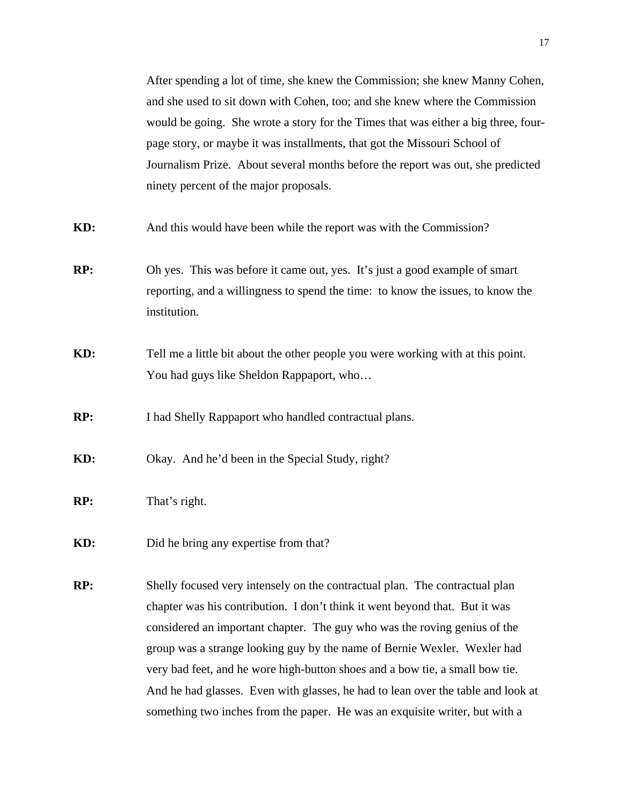After spending a lot of time, she knew the Commission; she knew Manny Cohen, and she used to sit down with Cohen, too; and she knew where the Commission would be going. She wrote a story for the Times that was either a big three, four page story, or maybe it was installments, that got the Missouri School of Journalism Prize. About several months before the report was out, she predicted ninety percent of the major proposals.

**KD:** And this would have been while the report was with the Commission?

- **RP:** Oh yes. This was before it came out, yes. It's just a good example of smart reporting, and a willingness to spend the time: to know the issues, to know the institution.
- **KD:** Tell me a little bit about the other people you were working with at this point. You had guys like Sheldon Rappaport, who…

**RP:** I had Shelly Rappaport who handled contractual plans.

KD: Okay. And he'd been in the Special Study, right?

- **RP:** That's right.
- **KD:** Did he bring any expertise from that?
- **RP:** Shelly focused very intensely on the contractual plan. The contractual plan chapter was his contribution. I don't think it went beyond that. But it was considered an important chapter. The guy who was the roving genius of the group was a strange looking guy by the name of Bernie Wexler. Wexler had very bad feet, and he wore high-button shoes and a bow tie, a small bow tie. And he had glasses. Even with glasses, he had to lean over the table and look at something two inches from the paper. He was an exquisite writer, but with a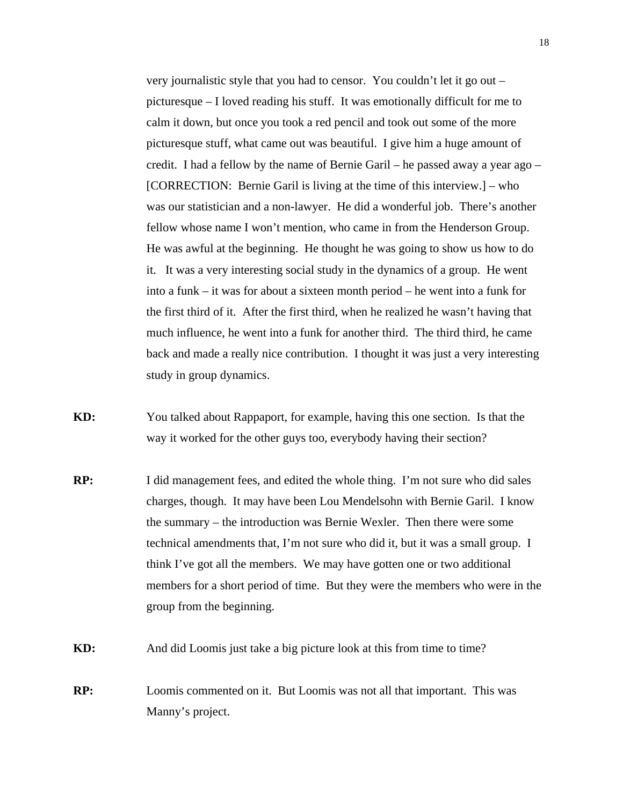very journalistic style that you had to censor. You couldn't let it go out – picturesque – I loved reading his stuff. It was emotionally difficult for me to calm it down, but once you took a red pencil and took out some of the more picturesque stuff, what came out was beautiful. I give him a huge amount of credit. I had a fellow by the name of Bernie Garil – he passed away a year ago – [CORRECTION: Bernie Garil is living at the time of this interview.] – who was our statistician and a non-lawyer. He did a wonderful job. There's another fellow whose name I won't mention, who came in from the Henderson Group. He was awful at the beginning. He thought he was going to show us how to do it. It was a very interesting social study in the dynamics of a group. He went into a funk – it was for about a sixteen month period – he went into a funk for the first third of it. After the first third, when he realized he wasn't having that much influence, he went into a funk for another third. The third third, he came back and made a really nice contribution. I thought it was just a very interesting study in group dynamics.

**KD:** You talked about Rappaport, for example, having this one section. Is that the way it worked for the other guys too, everybody having their section?

- **RP:** I did management fees, and edited the whole thing. I'm not sure who did sales charges, though. It may have been Lou Mendelsohn with Bernie Garil. I know the summary – the introduction was Bernie Wexler. Then there were some technical amendments that, I'm not sure who did it, but it was a small group. I think I've got all the members. We may have gotten one or two additional members for a short period of time. But they were the members who were in the group from the beginning.
- **KD:** And did Loomis just take a big picture look at this from time to time?
- **RP:** Loomis commented on it. But Loomis was not all that important. This was Manny's project.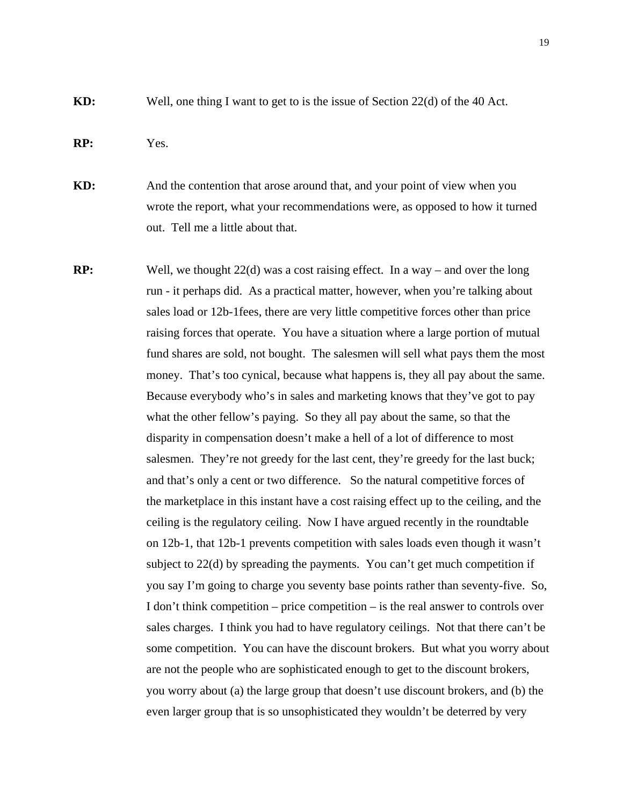**KD:** Well, one thing I want to get to is the issue of Section 22(d) of the 40 Act.

### **RP:** Yes.

**KD:** And the contention that arose around that, and your point of view when you wrote the report, what your recommendations were, as opposed to how it turned out. Tell me a little about that.

**RP:** Well, we thought 22(d) was a cost raising effect. In a way – and over the long run - it perhaps did. As a practical matter, however, when you're talking about sales load or 12b-1fees, there are very little competitive forces other than price raising forces that operate. You have a situation where a large portion of mutual fund shares are sold, not bought. The salesmen will sell what pays them the most money. That's too cynical, because what happens is, they all pay about the same. Because everybody who's in sales and marketing knows that they've got to pay what the other fellow's paying. So they all pay about the same, so that the disparity in compensation doesn't make a hell of a lot of difference to most salesmen. They're not greedy for the last cent, they're greedy for the last buck; and that's only a cent or two difference. So the natural competitive forces of the marketplace in this instant have a cost raising effect up to the ceiling, and the ceiling is the regulatory ceiling. Now I have argued recently in the roundtable on 12b-1, that 12b-1 prevents competition with sales loads even though it wasn't subject to 22(d) by spreading the payments. You can't get much competition if you say I'm going to charge you seventy base points rather than seventy-five. So, I don't think competition – price competition – is the real answer to controls over sales charges. I think you had to have regulatory ceilings. Not that there can't be some competition. You can have the discount brokers. But what you worry about are not the people who are sophisticated enough to get to the discount brokers, you worry about (a) the large group that doesn't use discount brokers, and (b) the even larger group that is so unsophisticated they wouldn't be deterred by very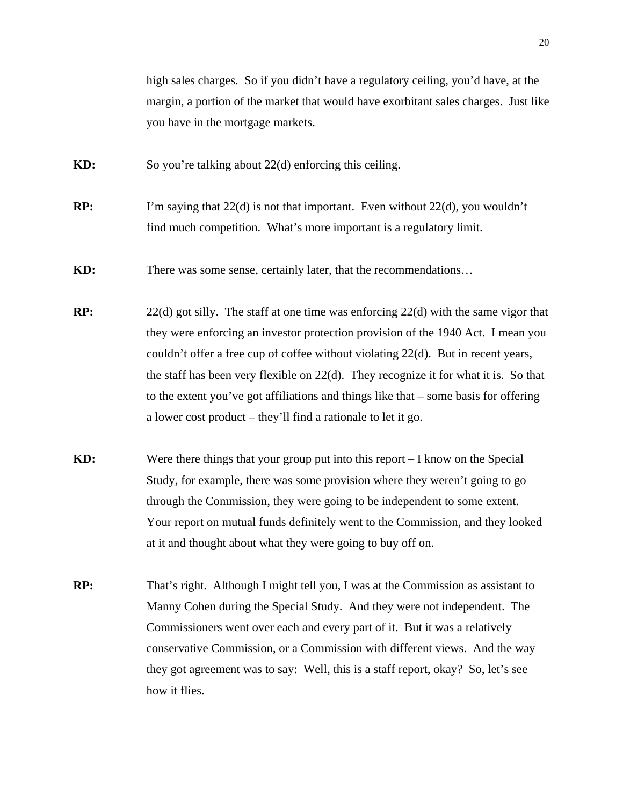high sales charges. So if you didn't have a regulatory ceiling, you'd have, at the margin, a portion of the market that would have exorbitant sales charges. Just like you have in the mortgage markets.

- **KD:** So you're talking about 22(d) enforcing this ceiling.
- **RP:** I'm saying that 22(d) is not that important. Even without 22(d), you wouldn't find much competition. What's more important is a regulatory limit.
- **KD:** There was some sense, certainly later, that the recommendations...
- **RP:** 22(d) got silly. The staff at one time was enforcing 22(d) with the same vigor that they were enforcing an investor protection provision of the 1940 Act. I mean you couldn't offer a free cup of coffee without violating 22(d). But in recent years, the staff has been very flexible on 22(d). They recognize it for what it is. So that to the extent you've got affiliations and things like that – some basis for offering a lower cost product – they'll find a rationale to let it go.
- **KD:** Were there things that your group put into this report I know on the Special Study, for example, there was some provision where they weren't going to go through the Commission, they were going to be independent to some extent. Your report on mutual funds definitely went to the Commission, and they looked at it and thought about what they were going to buy off on.
- **RP:** That's right. Although I might tell you, I was at the Commission as assistant to Manny Cohen during the Special Study. And they were not independent. The Commissioners went over each and every part of it. But it was a relatively conservative Commission, or a Commission with different views. And the way they got agreement was to say: Well, this is a staff report, okay? So, let's see how it flies.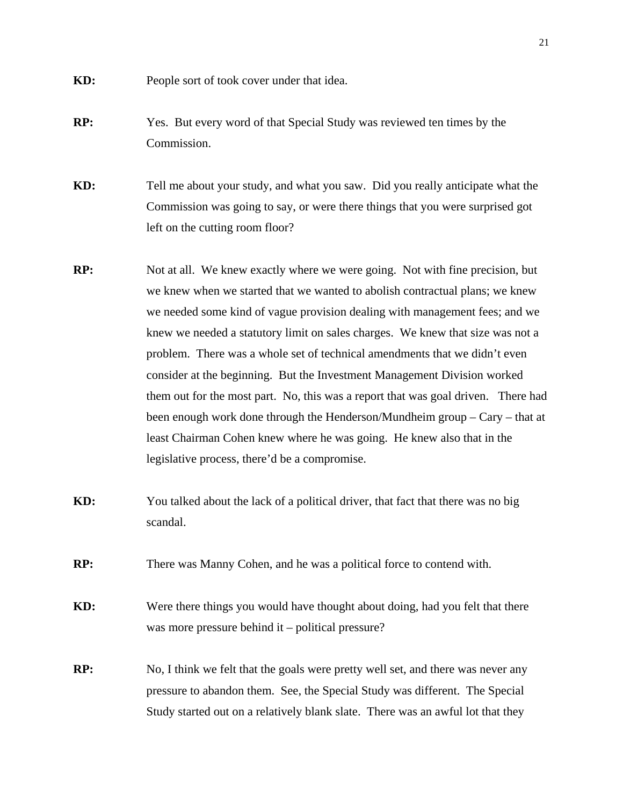- **KD:** People sort of took cover under that idea.
- **RP:** Yes. But every word of that Special Study was reviewed ten times by the Commission.

**KD:** Tell me about your study, and what you saw. Did you really anticipate what the Commission was going to say, or were there things that you were surprised got left on the cutting room floor?

- **RP:** Not at all. We knew exactly where we were going. Not with fine precision, but we knew when we started that we wanted to abolish contractual plans; we knew we needed some kind of vague provision dealing with management fees; and we knew we needed a statutory limit on sales charges. We knew that size was not a problem. There was a whole set of technical amendments that we didn't even consider at the beginning. But the Investment Management Division worked them out for the most part. No, this was a report that was goal driven. There had been enough work done through the Henderson/Mundheim group – Cary – that at least Chairman Cohen knew where he was going. He knew also that in the legislative process, there'd be a compromise.
- **KD:** You talked about the lack of a political driver, that fact that there was no big scandal.
- **RP:** There was Manny Cohen, and he was a political force to contend with.

**KD:** Were there things you would have thought about doing, had you felt that there was more pressure behind it – political pressure?

**RP:** No, I think we felt that the goals were pretty well set, and there was never any pressure to abandon them. See, the Special Study was different. The Special Study started out on a relatively blank slate. There was an awful lot that they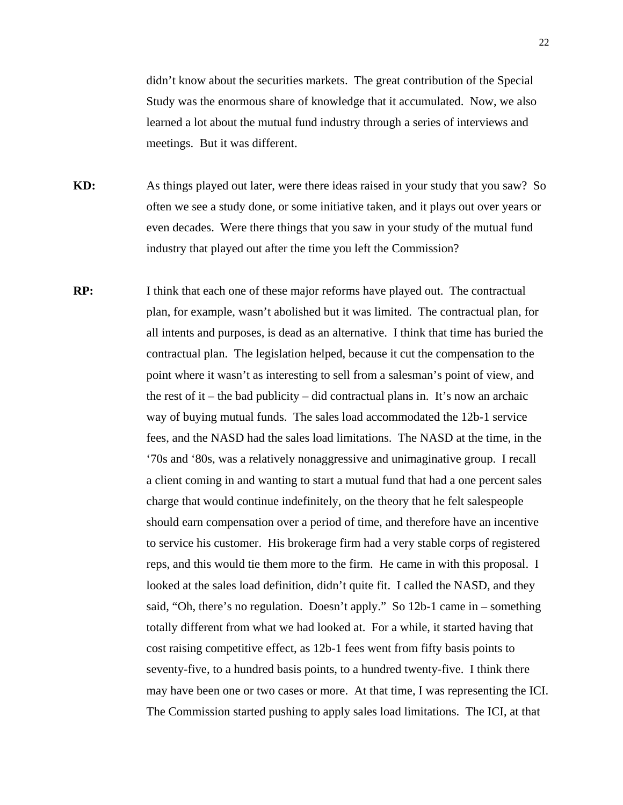didn't know about the securities markets. The great contribution of the Special Study was the enormous share of knowledge that it accumulated. Now, we also learned a lot about the mutual fund industry through a series of interviews and meetings. But it was different.

**KD:** As things played out later, were there ideas raised in your study that you saw? So often we see a study done, or some initiative taken, and it plays out over years or even decades. Were there things that you saw in your study of the mutual fund industry that played out after the time you left the Commission?

**RP:** I think that each one of these major reforms have played out. The contractual plan, for example, wasn't abolished but it was limited. The contractual plan, for all intents and purposes, is dead as an alternative. I think that time has buried the contractual plan. The legislation helped, because it cut the compensation to the point where it wasn't as interesting to sell from a salesman's point of view, and the rest of it – the bad publicity – did contractual plans in. It's now an archaic way of buying mutual funds. The sales load accommodated the 12b-1 service fees, and the NASD had the sales load limitations. The NASD at the time, in the '70s and '80s, was a relatively nonaggressive and unimaginative group. I recall a client coming in and wanting to start a mutual fund that had a one percent sales charge that would continue indefinitely, on the theory that he felt salespeople should earn compensation over a period of time, and therefore have an incentive to service his customer. His brokerage firm had a very stable corps of registered reps, and this would tie them more to the firm. He came in with this proposal. I looked at the sales load definition, didn't quite fit. I called the NASD, and they said, "Oh, there's no regulation. Doesn't apply." So 12b-1 came in – something totally different from what we had looked at. For a while, it started having that cost raising competitive effect, as 12b-1 fees went from fifty basis points to seventy-five, to a hundred basis points, to a hundred twenty-five. I think there may have been one or two cases or more. At that time, I was representing the ICI. The Commission started pushing to apply sales load limitations. The ICI, at that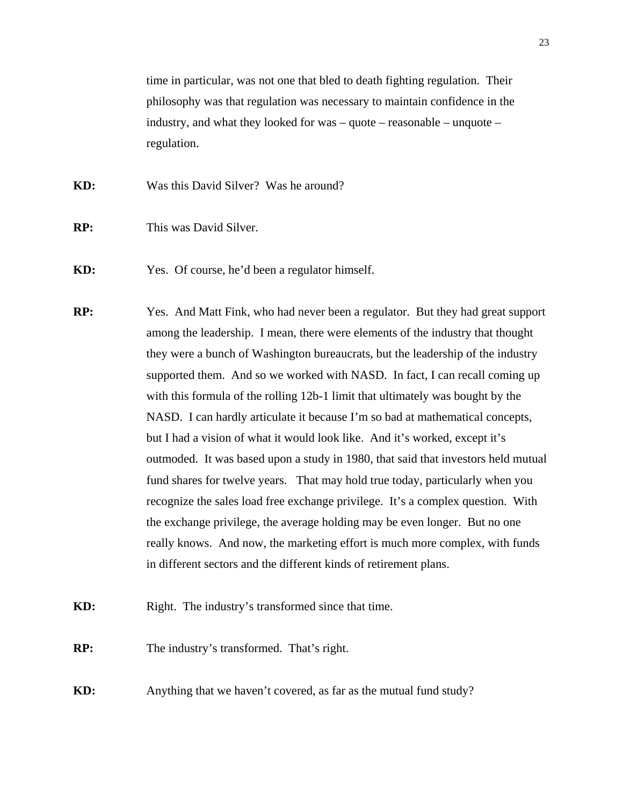time in particular, was not one that bled to death fighting regulation. Their philosophy was that regulation was necessary to maintain confidence in the industry, and what they looked for was – quote – reasonable – unquote – regulation.

- **KD:** Was this David Silver? Was he around?
- **RP:** This was David Silver.
- **KD:** Yes. Of course, he'd been a regulator himself.
- **RP:** Yes. And Matt Fink, who had never been a regulator. But they had great support among the leadership. I mean, there were elements of the industry that thought they were a bunch of Washington bureaucrats, but the leadership of the industry supported them. And so we worked with NASD. In fact, I can recall coming up with this formula of the rolling 12b-1 limit that ultimately was bought by the NASD. I can hardly articulate it because I'm so bad at mathematical concepts, but I had a vision of what it would look like. And it's worked, except it's outmoded. It was based upon a study in 1980, that said that investors held mutual fund shares for twelve years. That may hold true today, particularly when you recognize the sales load free exchange privilege. It's a complex question. With the exchange privilege, the average holding may be even longer. But no one really knows. And now, the marketing effort is much more complex, with funds in different sectors and the different kinds of retirement plans.
- **KD:** Right. The industry's transformed since that time.
- **RP:** The industry's transformed. That's right.
- **KD:** Anything that we haven't covered, as far as the mutual fund study?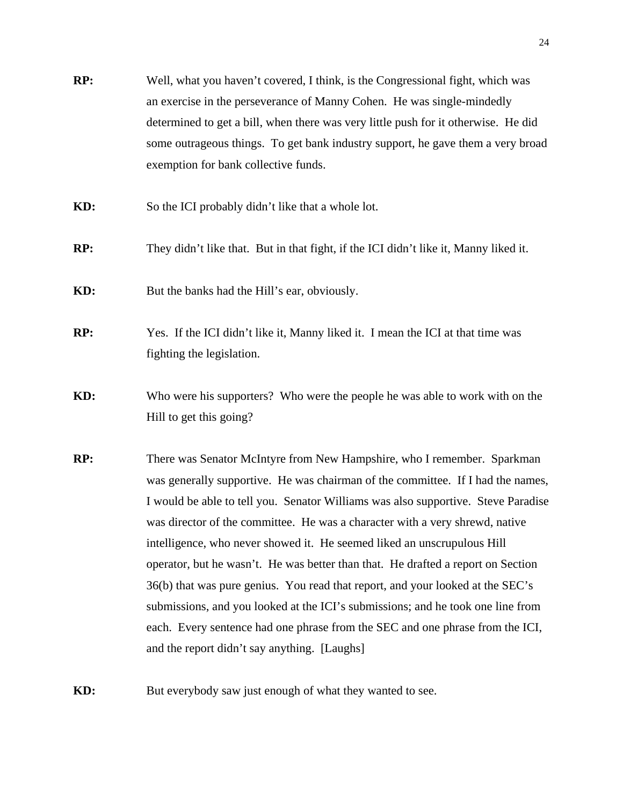- **RP:** Well, what you haven't covered, I think, is the Congressional fight, which was an exercise in the perseverance of Manny Cohen. He was single-mindedly determined to get a bill, when there was very little push for it otherwise. He did some outrageous things. To get bank industry support, he gave them a very broad exemption for bank collective funds.
- **KD:** So the ICI probably didn't like that a whole lot.
- **RP:** They didn't like that. But in that fight, if the ICI didn't like it, Manny liked it.
- **KD:** But the banks had the Hill's ear, obviously.
- **RP:** Yes. If the ICI didn't like it, Manny liked it. I mean the ICI at that time was fighting the legislation.
- **KD:** Who were his supporters? Who were the people he was able to work with on the Hill to get this going?
- **RP:** There was Senator McIntyre from New Hampshire, who I remember. Sparkman was generally supportive. He was chairman of the committee. If I had the names, I would be able to tell you. Senator Williams was also supportive. Steve Paradise was director of the committee. He was a character with a very shrewd, native intelligence, who never showed it. He seemed liked an unscrupulous Hill operator, but he wasn't. He was better than that. He drafted a report on Section 36(b) that was pure genius. You read that report, and your looked at the SEC's submissions, and you looked at the ICI's submissions; and he took one line from each. Every sentence had one phrase from the SEC and one phrase from the ICI, and the report didn't say anything. [Laughs]
- **KD:** But everybody saw just enough of what they wanted to see.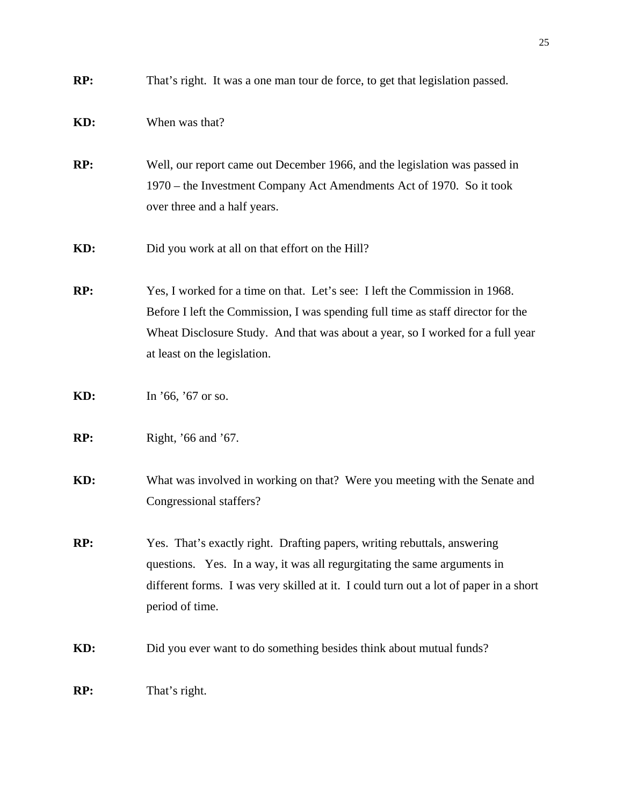| RP: | That's right. It was a one man tour de force, to get that legislation passed.                                                                                                                                                                                                     |
|-----|-----------------------------------------------------------------------------------------------------------------------------------------------------------------------------------------------------------------------------------------------------------------------------------|
| KD: | When was that?                                                                                                                                                                                                                                                                    |
| RP: | Well, our report came out December 1966, and the legislation was passed in<br>1970 – the Investment Company Act Amendments Act of 1970. So it took<br>over three and a half years.                                                                                                |
| KD: | Did you work at all on that effort on the Hill?                                                                                                                                                                                                                                   |
| RP: | Yes, I worked for a time on that. Let's see: I left the Commission in 1968.<br>Before I left the Commission, I was spending full time as staff director for the<br>Wheat Disclosure Study. And that was about a year, so I worked for a full year<br>at least on the legislation. |
| KD: | In $'66$ , $'67$ or so.                                                                                                                                                                                                                                                           |
| RP: | Right, '66 and '67.                                                                                                                                                                                                                                                               |
| KD: | What was involved in working on that? Were you meeting with the Senate and<br>Congressional staffers?                                                                                                                                                                             |
| RP: | Yes. That's exactly right. Drafting papers, writing rebuttals, answering<br>questions. Yes. In a way, it was all regurgitating the same arguments in<br>different forms. I was very skilled at it. I could turn out a lot of paper in a short<br>period of time.                  |
| KD: | Did you ever want to do something besides think about mutual funds?                                                                                                                                                                                                               |
| RP: | That's right.                                                                                                                                                                                                                                                                     |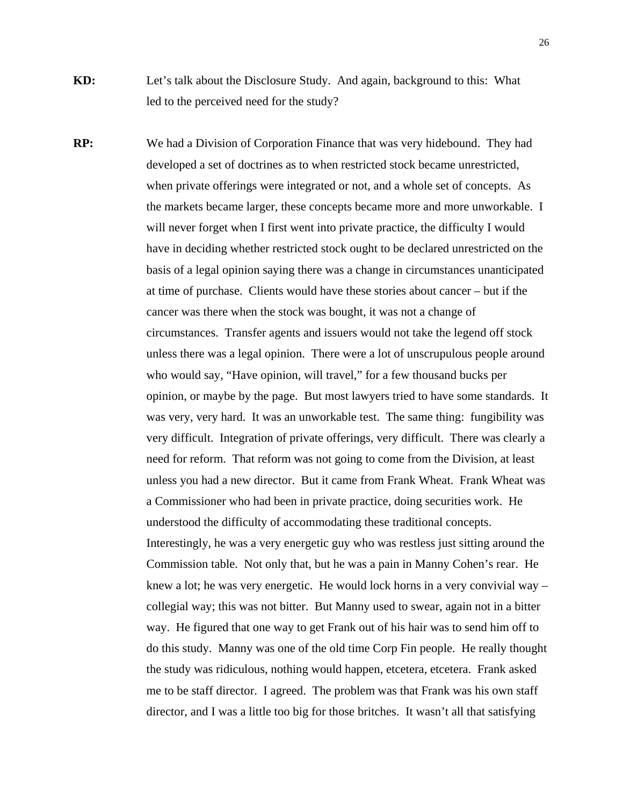- **KD:** Let's talk about the Disclosure Study. And again, background to this: What led to the perceived need for the study?
- **RP:** We had a Division of Corporation Finance that was very hidebound. They had developed a set of doctrines as to when restricted stock became unrestricted, when private offerings were integrated or not, and a whole set of concepts. As the markets became larger, these concepts became more and more unworkable. I will never forget when I first went into private practice, the difficulty I would have in deciding whether restricted stock ought to be declared unrestricted on the basis of a legal opinion saying there was a change in circumstances unanticipated at time of purchase. Clients would have these stories about cancer – but if the cancer was there when the stock was bought, it was not a change of circumstances. Transfer agents and issuers would not take the legend off stock unless there was a legal opinion. There were a lot of unscrupulous people around who would say, "Have opinion, will travel," for a few thousand bucks per opinion, or maybe by the page. But most lawyers tried to have some standards. It was very, very hard. It was an unworkable test. The same thing: fungibility was very difficult. Integration of private offerings, very difficult. There was clearly a need for reform. That reform was not going to come from the Division, at least unless you had a new director. But it came from Frank Wheat. Frank Wheat was a Commissioner who had been in private practice, doing securities work. He understood the difficulty of accommodating these traditional concepts. Interestingly, he was a very energetic guy who was restless just sitting around the Commission table. Not only that, but he was a pain in Manny Cohen's rear. He knew a lot; he was very energetic. He would lock horns in a very convivial way – collegial way; this was not bitter. But Manny used to swear, again not in a bitter way. He figured that one way to get Frank out of his hair was to send him off to do this study. Manny was one of the old time Corp Fin people. He really thought the study was ridiculous, nothing would happen, etcetera, etcetera. Frank asked me to be staff director. I agreed. The problem was that Frank was his own staff director, and I was a little too big for those britches. It wasn't all that satisfying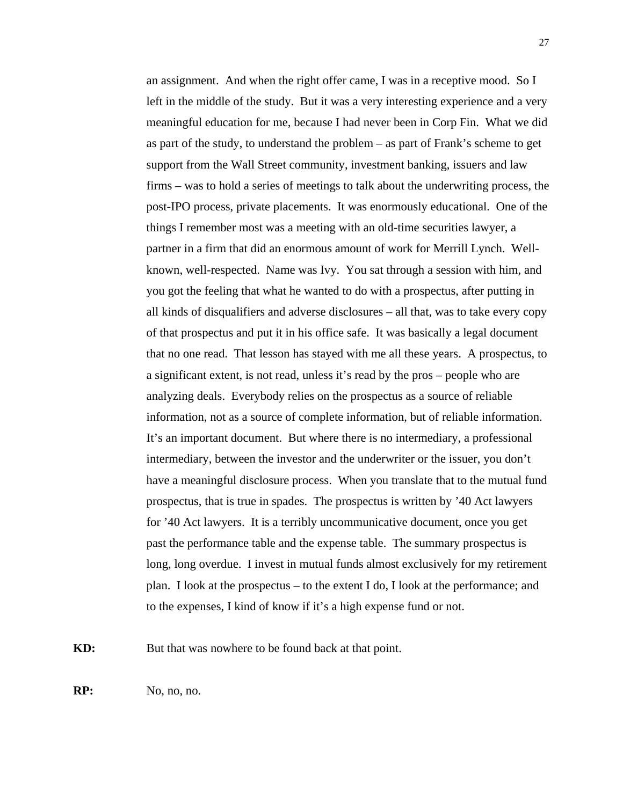an assignment. And when the right offer came, I was in a receptive mood. So I left in the middle of the study. But it was a very interesting experience and a very meaningful education for me, because I had never been in Corp Fin. What we did as part of the study, to understand the problem – as part of Frank's scheme to get support from the Wall Street community, investment banking, issuers and law firms – was to hold a series of meetings to talk about the underwriting process, the post-IPO process, private placements. It was enormously educational. One of the things I remember most was a meeting with an old-time securities lawyer, a partner in a firm that did an enormous amount of work for Merrill Lynch. Wellknown, well-respected. Name was Ivy. You sat through a session with him, and you got the feeling that what he wanted to do with a prospectus, after putting in all kinds of disqualifiers and adverse disclosures – all that, was to take every copy of that prospectus and put it in his office safe. It was basically a legal document that no one read. That lesson has stayed with me all these years. A prospectus, to a significant extent, is not read, unless it's read by the pros – people who are analyzing deals. Everybody relies on the prospectus as a source of reliable information, not as a source of complete information, but of reliable information. It's an important document. But where there is no intermediary, a professional intermediary, between the investor and the underwriter or the issuer, you don't have a meaningful disclosure process. When you translate that to the mutual fund prospectus, that is true in spades. The prospectus is written by '40 Act lawyers for '40 Act lawyers. It is a terribly uncommunicative document, once you get past the performance table and the expense table. The summary prospectus is long, long overdue. I invest in mutual funds almost exclusively for my retirement plan. I look at the prospectus – to the extent I do, I look at the performance; and to the expenses, I kind of know if it's a high expense fund or not.

**KD:** But that was nowhere to be found back at that point.

**RP:** No, no, no.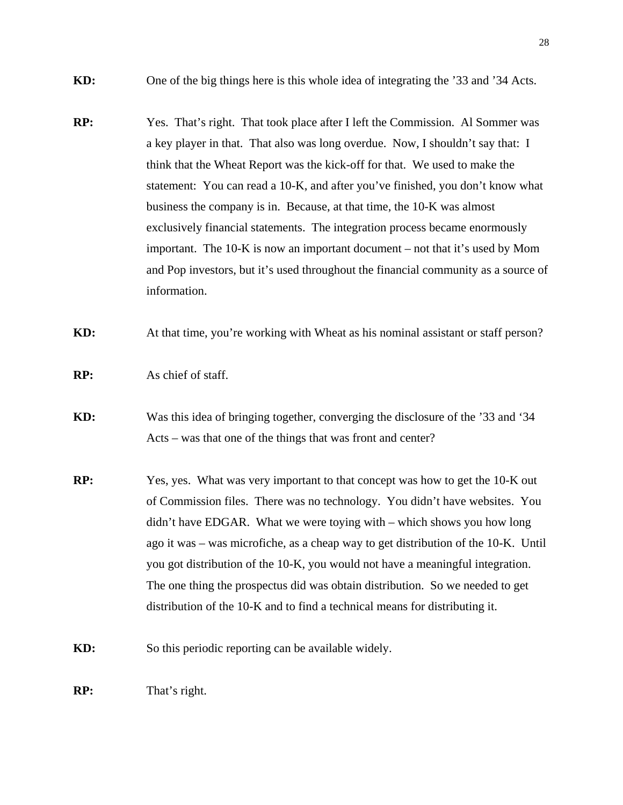- **KD:** One of the big things here is this whole idea of integrating the '33 and '34 Acts.
- **RP:** Yes. That's right. That took place after I left the Commission. Al Sommer was a key player in that. That also was long overdue. Now, I shouldn't say that: I think that the Wheat Report was the kick-off for that. We used to make the statement: You can read a 10-K, and after you've finished, you don't know what business the company is in. Because, at that time, the 10-K was almost exclusively financial statements. The integration process became enormously important. The 10-K is now an important document – not that it's used by Mom and Pop investors, but it's used throughout the financial community as a source of information.
- **KD:** At that time, you're working with Wheat as his nominal assistant or staff person?
- **RP:** As chief of staff.
- **KD:** Was this idea of bringing together, converging the disclosure of the '33 and '34 Acts – was that one of the things that was front and center?
- **RP:** Yes, yes. What was very important to that concept was how to get the 10-K out of Commission files. There was no technology. You didn't have websites. You didn't have EDGAR. What we were toying with – which shows you how long ago it was – was microfiche, as a cheap way to get distribution of the 10-K. Until you got distribution of the 10-K, you would not have a meaningful integration. The one thing the prospectus did was obtain distribution. So we needed to get distribution of the 10-K and to find a technical means for distributing it.
- **KD:** So this periodic reporting can be available widely.
- **RP:** That's right.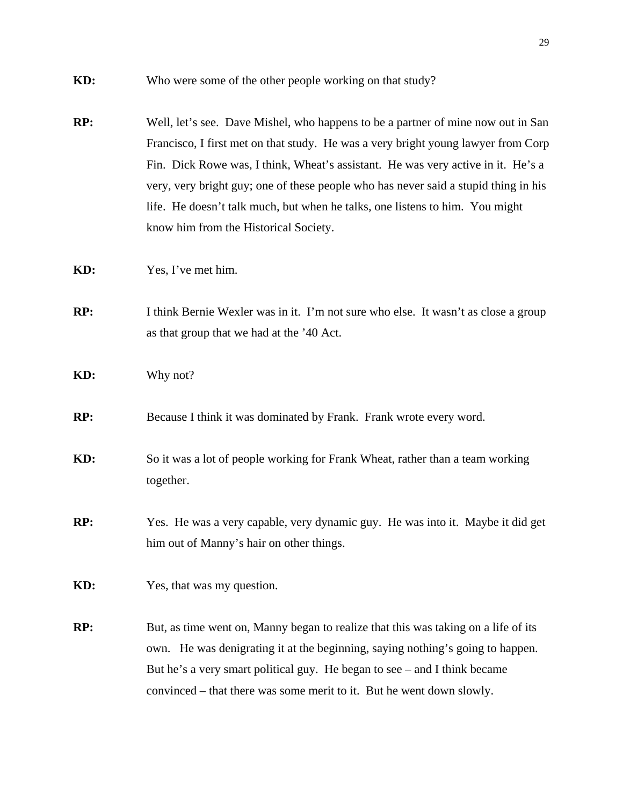- **RP:** Well, let's see. Dave Mishel, who happens to be a partner of mine now out in San Francisco, I first met on that study. He was a very bright young lawyer from Corp Fin. Dick Rowe was, I think, Wheat's assistant. He was very active in it. He's a very, very bright guy; one of these people who has never said a stupid thing in his life. He doesn't talk much, but when he talks, one listens to him. You might know him from the Historical Society.
- **KD:** Yes, I've met him.
- **RP:** I think Bernie Wexler was in it. I'm not sure who else. It wasn't as close a group as that group that we had at the '40 Act.
- **KD:** Why not?
- **RP:** Because I think it was dominated by Frank. Frank wrote every word.
- **KD:** So it was a lot of people working for Frank Wheat, rather than a team working together.
- **RP:** Yes. He was a very capable, very dynamic guy. He was into it. Maybe it did get him out of Manny's hair on other things.
- **KD:** Yes, that was my question.
- **RP:** But, as time went on, Manny began to realize that this was taking on a life of its own. He was denigrating it at the beginning, saying nothing's going to happen. But he's a very smart political guy. He began to see – and I think became convinced – that there was some merit to it. But he went down slowly.

**KD:** Who were some of the other people working on that study?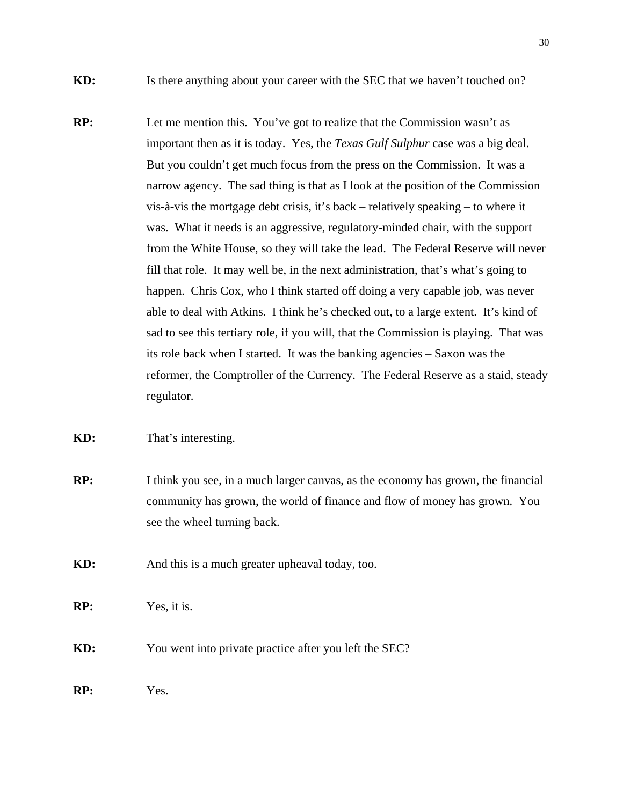- **KD:** Is there anything about your career with the SEC that we haven't touched on?
- **RP:** Let me mention this. You've got to realize that the Commission wasn't as important then as it is today. Yes, the *Texas Gulf Sulphur* case was a big deal. But you couldn't get much focus from the press on the Commission. It was a narrow agency. The sad thing is that as I look at the position of the Commission vis-à-vis the mortgage debt crisis, it's back – relatively speaking – to where it was. What it needs is an aggressive, regulatory-minded chair, with the support from the White House, so they will take the lead. The Federal Reserve will never fill that role. It may well be, in the next administration, that's what's going to happen. Chris Cox, who I think started off doing a very capable job, was never able to deal with Atkins. I think he's checked out, to a large extent. It's kind of sad to see this tertiary role, if you will, that the Commission is playing. That was its role back when I started. It was the banking agencies – Saxon was the reformer, the Comptroller of the Currency. The Federal Reserve as a staid, steady regulator.
- **KD:** That's interesting.
- **RP:** I think you see, in a much larger canvas, as the economy has grown, the financial community has grown, the world of finance and flow of money has grown. You see the wheel turning back.
- **KD:** And this is a much greater upheaval today, too.
- **RP:** Yes, it is.
- **KD:** You went into private practice after you left the SEC?
- **RP:** Yes.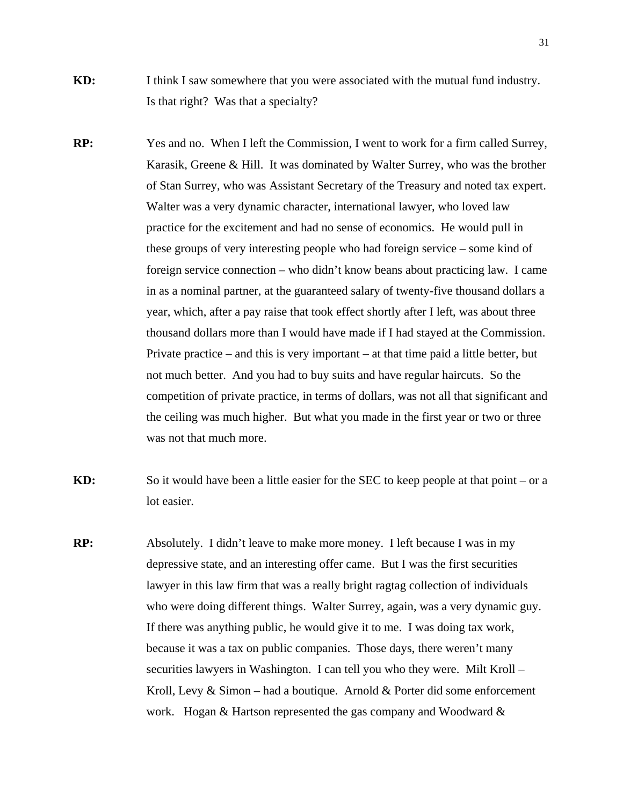- **KD:** I think I saw somewhere that you were associated with the mutual fund industry. Is that right? Was that a specialty?
- **RP:** Yes and no. When I left the Commission, I went to work for a firm called Surrey, Karasik, Greene & Hill. It was dominated by Walter Surrey, who was the brother of Stan Surrey, who was Assistant Secretary of the Treasury and noted tax expert. Walter was a very dynamic character, international lawyer, who loved law practice for the excitement and had no sense of economics. He would pull in these groups of very interesting people who had foreign service – some kind of foreign service connection – who didn't know beans about practicing law. I came in as a nominal partner, at the guaranteed salary of twenty-five thousand dollars a year, which, after a pay raise that took effect shortly after I left, was about three thousand dollars more than I would have made if I had stayed at the Commission. Private practice – and this is very important – at that time paid a little better, but not much better. And you had to buy suits and have regular haircuts. So the competition of private practice, in terms of dollars, was not all that significant and the ceiling was much higher. But what you made in the first year or two or three was not that much more.
- **KD:** So it would have been a little easier for the SEC to keep people at that point or a lot easier.
- **RP:** Absolutely. I didn't leave to make more money. I left because I was in my depressive state, and an interesting offer came. But I was the first securities lawyer in this law firm that was a really bright ragtag collection of individuals who were doing different things. Walter Surrey, again, was a very dynamic guy. If there was anything public, he would give it to me. I was doing tax work, because it was a tax on public companies. Those days, there weren't many securities lawyers in Washington. I can tell you who they were. Milt Kroll – Kroll, Levy & Simon – had a boutique. Arnold & Porter did some enforcement work. Hogan & Hartson represented the gas company and Woodward &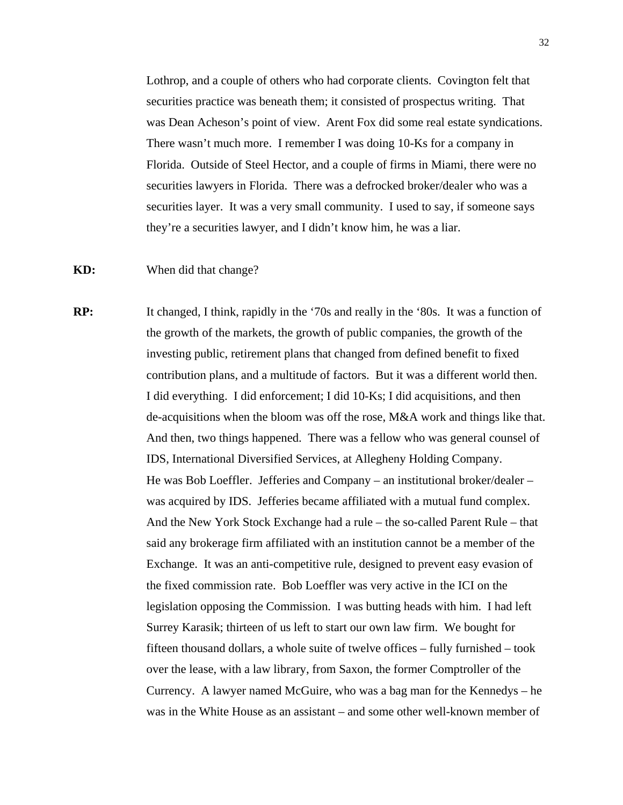Lothrop, and a couple of others who had corporate clients. Covington felt that securities practice was beneath them; it consisted of prospectus writing. That was Dean Acheson's point of view. Arent Fox did some real estate syndications. There wasn't much more. I remember I was doing 10-Ks for a company in Florida. Outside of Steel Hector, and a couple of firms in Miami, there were no securities lawyers in Florida. There was a defrocked broker/dealer who was a securities layer. It was a very small community. I used to say, if someone says they're a securities lawyer, and I didn't know him, he was a liar.

## **KD:** When did that change?

**RP:** It changed, I think, rapidly in the '70s and really in the '80s. It was a function of the growth of the markets, the growth of public companies, the growth of the investing public, retirement plans that changed from defined benefit to fixed contribution plans, and a multitude of factors. But it was a different world then. I did everything. I did enforcement; I did 10-Ks; I did acquisitions, and then de-acquisitions when the bloom was off the rose, M&A work and things like that. And then, two things happened. There was a fellow who was general counsel of IDS, International Diversified Services, at Allegheny Holding Company. He was Bob Loeffler. Jefferies and Company – an institutional broker/dealer – was acquired by IDS. Jefferies became affiliated with a mutual fund complex. And the New York Stock Exchange had a rule – the so-called Parent Rule – that said any brokerage firm affiliated with an institution cannot be a member of the Exchange. It was an anti-competitive rule, designed to prevent easy evasion of the fixed commission rate. Bob Loeffler was very active in the ICI on the legislation opposing the Commission. I was butting heads with him. I had left Surrey Karasik; thirteen of us left to start our own law firm. We bought for fifteen thousand dollars, a whole suite of twelve offices – fully furnished – took over the lease, with a law library, from Saxon, the former Comptroller of the Currency. A lawyer named McGuire, who was a bag man for the Kennedys – he was in the White House as an assistant – and some other well-known member of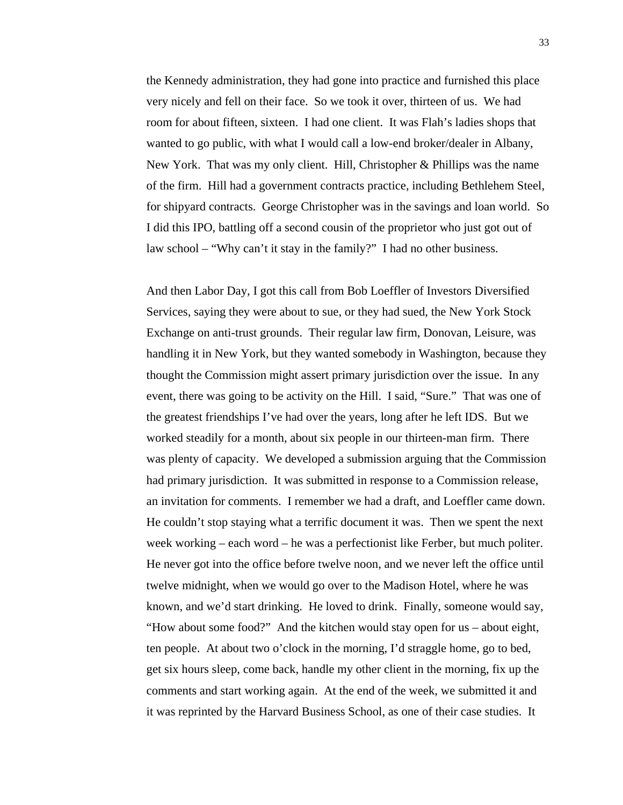the Kennedy administration, they had gone into practice and furnished this place very nicely and fell on their face. So we took it over, thirteen of us. We had room for about fifteen, sixteen. I had one client. It was Flah's ladies shops that wanted to go public, with what I would call a low-end broker/dealer in Albany, New York. That was my only client. Hill, Christopher & Phillips was the name of the firm. Hill had a government contracts practice, including Bethlehem Steel, for shipyard contracts. George Christopher was in the savings and loan world. So I did this IPO, battling off a second cousin of the proprietor who just got out of law school – "Why can't it stay in the family?" I had no other business.

 And then Labor Day, I got this call from Bob Loeffler of Investors Diversified Services, saying they were about to sue, or they had sued, the New York Stock Exchange on anti-trust grounds. Their regular law firm, Donovan, Leisure, was handling it in New York, but they wanted somebody in Washington, because they thought the Commission might assert primary jurisdiction over the issue. In any event, there was going to be activity on the Hill. I said, "Sure." That was one of the greatest friendships I've had over the years, long after he left IDS. But we worked steadily for a month, about six people in our thirteen-man firm. There was plenty of capacity. We developed a submission arguing that the Commission had primary jurisdiction. It was submitted in response to a Commission release, an invitation for comments. I remember we had a draft, and Loeffler came down. He couldn't stop staying what a terrific document it was. Then we spent the next week working – each word – he was a perfectionist like Ferber, but much politer. He never got into the office before twelve noon, and we never left the office until twelve midnight, when we would go over to the Madison Hotel, where he was known, and we'd start drinking. He loved to drink. Finally, someone would say, "How about some food?" And the kitchen would stay open for us – about eight, ten people. At about two o'clock in the morning, I'd straggle home, go to bed, get six hours sleep, come back, handle my other client in the morning, fix up the comments and start working again. At the end of the week, we submitted it and it was reprinted by the Harvard Business School, as one of their case studies. It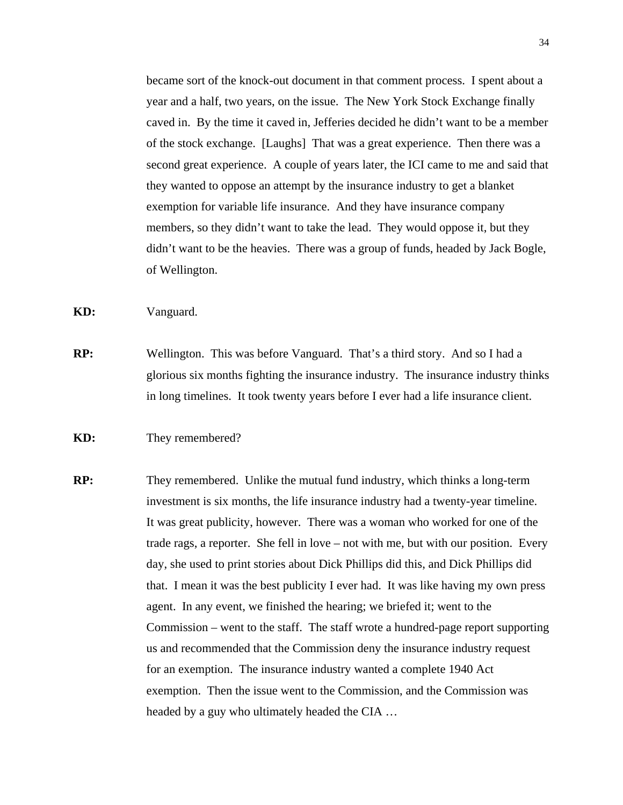became sort of the knock-out document in that comment process. I spent about a year and a half, two years, on the issue. The New York Stock Exchange finally caved in. By the time it caved in, Jefferies decided he didn't want to be a member of the stock exchange. [Laughs] That was a great experience. Then there was a second great experience. A couple of years later, the ICI came to me and said that they wanted to oppose an attempt by the insurance industry to get a blanket exemption for variable life insurance. And they have insurance company members, so they didn't want to take the lead. They would oppose it, but they didn't want to be the heavies. There was a group of funds, headed by Jack Bogle, of Wellington.

**KD:** Vanguard.

**RP:** Wellington. This was before Vanguard. That's a third story. And so I had a glorious six months fighting the insurance industry. The insurance industry thinks in long timelines. It took twenty years before I ever had a life insurance client.

## **KD:** They remembered?

**RP:** They remembered. Unlike the mutual fund industry, which thinks a long-term investment is six months, the life insurance industry had a twenty-year timeline. It was great publicity, however. There was a woman who worked for one of the trade rags, a reporter. She fell in love – not with me, but with our position. Every day, she used to print stories about Dick Phillips did this, and Dick Phillips did that. I mean it was the best publicity I ever had. It was like having my own press agent. In any event, we finished the hearing; we briefed it; went to the Commission – went to the staff. The staff wrote a hundred-page report supporting us and recommended that the Commission deny the insurance industry request for an exemption. The insurance industry wanted a complete 1940 Act exemption. Then the issue went to the Commission, and the Commission was headed by a guy who ultimately headed the CIA …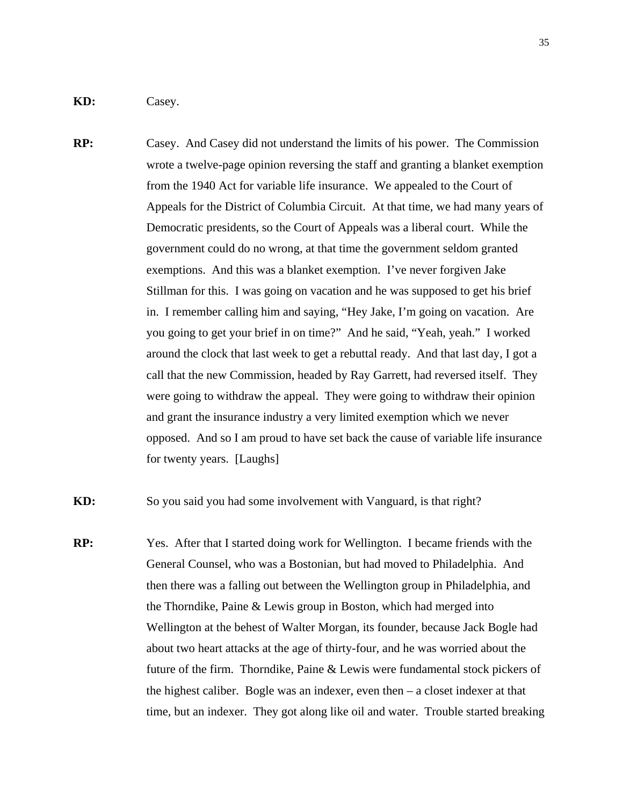**KD:** Casey.

**RP:** Casey. And Casey did not understand the limits of his power. The Commission wrote a twelve-page opinion reversing the staff and granting a blanket exemption from the 1940 Act for variable life insurance. We appealed to the Court of Appeals for the District of Columbia Circuit. At that time, we had many years of Democratic presidents, so the Court of Appeals was a liberal court. While the government could do no wrong, at that time the government seldom granted exemptions. And this was a blanket exemption. I've never forgiven Jake Stillman for this. I was going on vacation and he was supposed to get his brief in. I remember calling him and saying, "Hey Jake, I'm going on vacation. Are you going to get your brief in on time?" And he said, "Yeah, yeah." I worked around the clock that last week to get a rebuttal ready. And that last day, I got a call that the new Commission, headed by Ray Garrett, had reversed itself. They were going to withdraw the appeal. They were going to withdraw their opinion and grant the insurance industry a very limited exemption which we never opposed. And so I am proud to have set back the cause of variable life insurance for twenty years. [Laughs]

**KD:** So you said you had some involvement with Vanguard, is that right?

**RP:** Yes. After that I started doing work for Wellington. I became friends with the General Counsel, who was a Bostonian, but had moved to Philadelphia. And then there was a falling out between the Wellington group in Philadelphia, and the Thorndike, Paine & Lewis group in Boston, which had merged into Wellington at the behest of Walter Morgan, its founder, because Jack Bogle had about two heart attacks at the age of thirty-four, and he was worried about the future of the firm. Thorndike, Paine & Lewis were fundamental stock pickers of the highest caliber. Bogle was an indexer, even then – a closet indexer at that time, but an indexer. They got along like oil and water. Trouble started breaking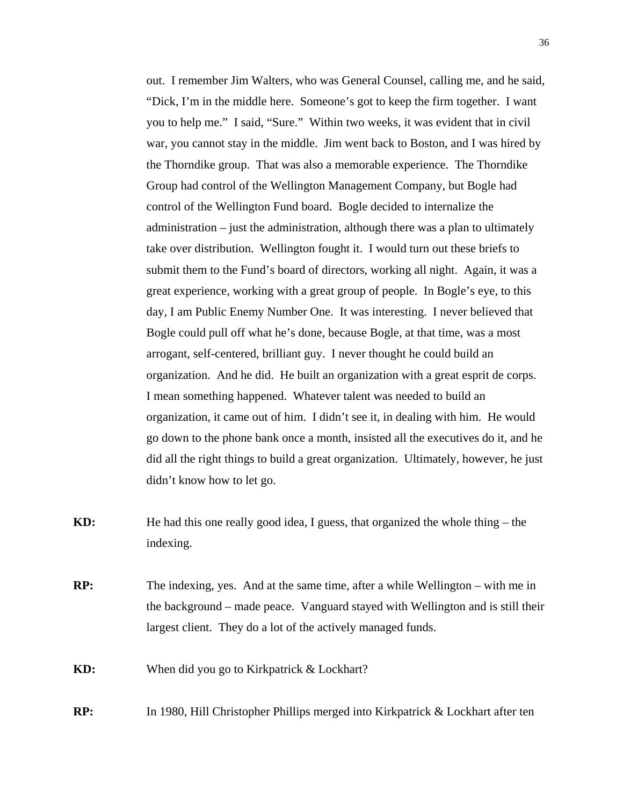out. I remember Jim Walters, who was General Counsel, calling me, and he said, "Dick, I'm in the middle here. Someone's got to keep the firm together. I want you to help me." I said, "Sure." Within two weeks, it was evident that in civil war, you cannot stay in the middle. Jim went back to Boston, and I was hired by the Thorndike group. That was also a memorable experience. The Thorndike Group had control of the Wellington Management Company, but Bogle had control of the Wellington Fund board. Bogle decided to internalize the administration – just the administration, although there was a plan to ultimately take over distribution. Wellington fought it. I would turn out these briefs to submit them to the Fund's board of directors, working all night. Again, it was a great experience, working with a great group of people. In Bogle's eye, to this day, I am Public Enemy Number One. It was interesting. I never believed that Bogle could pull off what he's done, because Bogle, at that time, was a most arrogant, self-centered, brilliant guy. I never thought he could build an organization. And he did. He built an organization with a great esprit de corps. I mean something happened. Whatever talent was needed to build an organization, it came out of him. I didn't see it, in dealing with him. He would go down to the phone bank once a month, insisted all the executives do it, and he did all the right things to build a great organization. Ultimately, however, he just didn't know how to let go.

- **KD:** He had this one really good idea, I guess, that organized the whole thing the indexing.
- **RP:** The indexing, yes. And at the same time, after a while Wellington with me in the background – made peace. Vanguard stayed with Wellington and is still their largest client. They do a lot of the actively managed funds.
- **KD:** When did you go to Kirkpatrick & Lockhart?
- **RP:** In 1980, Hill Christopher Phillips merged into Kirkpatrick & Lockhart after ten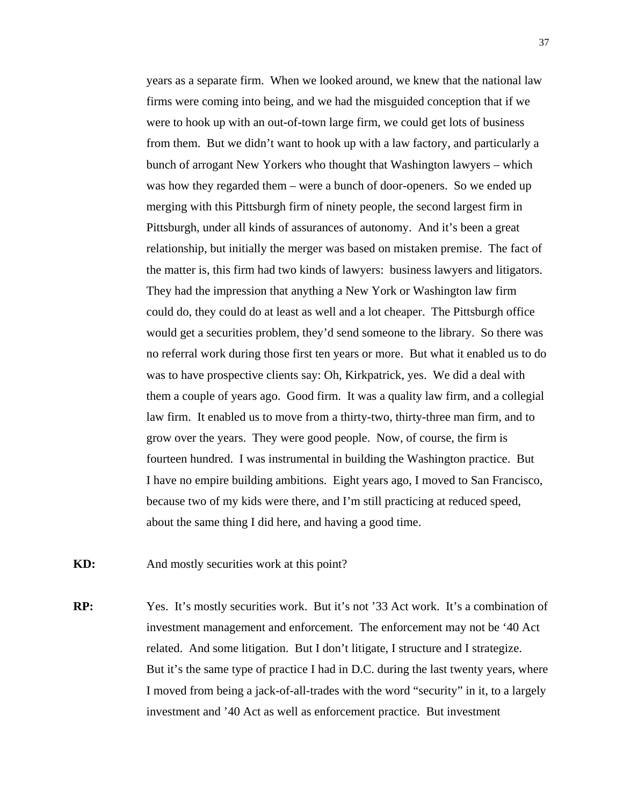years as a separate firm. When we looked around, we knew that the national law firms were coming into being, and we had the misguided conception that if we were to hook up with an out-of-town large firm, we could get lots of business from them. But we didn't want to hook up with a law factory, and particularly a bunch of arrogant New Yorkers who thought that Washington lawyers – which was how they regarded them – were a bunch of door-openers. So we ended up merging with this Pittsburgh firm of ninety people, the second largest firm in Pittsburgh, under all kinds of assurances of autonomy. And it's been a great relationship, but initially the merger was based on mistaken premise. The fact of the matter is, this firm had two kinds of lawyers: business lawyers and litigators. They had the impression that anything a New York or Washington law firm could do, they could do at least as well and a lot cheaper. The Pittsburgh office would get a securities problem, they'd send someone to the library. So there was no referral work during those first ten years or more. But what it enabled us to do was to have prospective clients say: Oh, Kirkpatrick, yes. We did a deal with them a couple of years ago. Good firm. It was a quality law firm, and a collegial law firm. It enabled us to move from a thirty-two, thirty-three man firm, and to grow over the years. They were good people. Now, of course, the firm is fourteen hundred. I was instrumental in building the Washington practice. But I have no empire building ambitions. Eight years ago, I moved to San Francisco, because two of my kids were there, and I'm still practicing at reduced speed, about the same thing I did here, and having a good time.

**KD:** And mostly securities work at this point?

**RP:** Yes. It's mostly securities work. But it's not '33 Act work. It's a combination of investment management and enforcement. The enforcement may not be '40 Act related. And some litigation. But I don't litigate, I structure and I strategize. But it's the same type of practice I had in D.C. during the last twenty years, where I moved from being a jack-of-all-trades with the word "security" in it, to a largely investment and '40 Act as well as enforcement practice. But investment